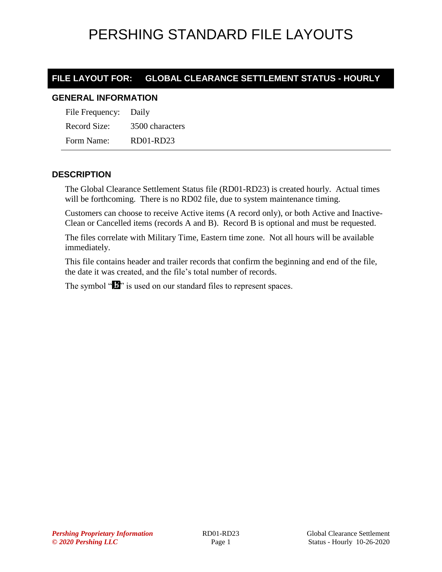#### **FILE LAYOUT FOR: GLOBAL CLEARANCE SETTLEMENT STATUS - HOURLY**

#### **GENERAL INFORMATION**

File Frequency: Daily Record Size: 3500 characters Form Name: RD01-RD23

#### **DESCRIPTION**

The Global Clearance Settlement Status file (RD01-RD23) is created hourly. Actual times will be forthcoming. There is no RD02 file, due to system maintenance timing.

Customers can choose to receive Active items (A record only), or both Active and Inactive-Clean or Cancelled items (records A and B). Record B is optional and must be requested.

The files correlate with Military Time, Eastern time zone. Not all hours will be available immediately.

This file contains header and trailer records that confirm the beginning and end of the file, the date it was created, and the file's total number of records.

The symbol " $\mathbf{B}$ " is used on our standard files to represent spaces.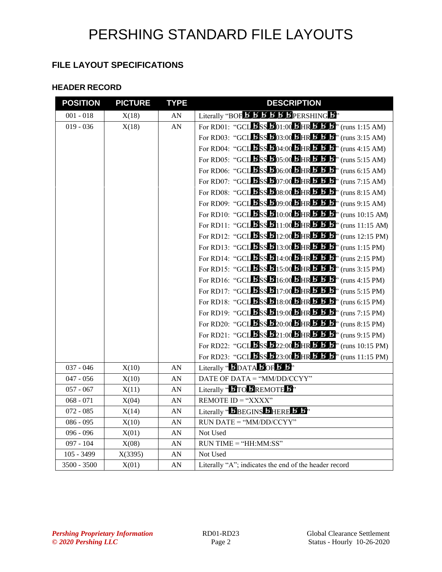#### **FILE LAYOUT SPECIFICATIONS**

#### **HEADER RECORD**

| <b>POSITION</b> | <b>PICTURE</b> | <b>TYPE</b>      | <b>DESCRIPTION</b>                                                                                                                                        |
|-----------------|----------------|------------------|-----------------------------------------------------------------------------------------------------------------------------------------------------------|
| $001 - 018$     | X(18)          | ${\rm AN}$       | Literally "BOF <b>5 5 5 5 5 F</b> PERSHING 5"                                                                                                             |
| $019 - 036$     | X(18)          | AN               | For RD01: "GCL $\mathbf{B}$ SS $\mathbf{B}$ 01:00 $\mathbf{B}$ HR $\mathbf{B}$ $\mathbf{B}$ $\mathbf{B}$ " (runs 1:15 AM)                                 |
|                 |                |                  | For RD03: "GCLESSE03:00 DHREE 3.15 AM)                                                                                                                    |
|                 |                |                  | For RD04: "GCL $\mathbf{B}$ SS $\mathbf{B}$ 04:00 $\mathbf{B}$ HR $\mathbf{B}$ $\mathbf{B}$ , $\mathbf{B}$ " (runs 4:15 AM)                               |
|                 |                |                  | For RD05: "GCL $\overline{B}$ SS $\overline{B}$ 05:00 $\overline{B}$ HR $\overline{B}$ $\overline{B}$ , (runs 5:15 AM)                                    |
|                 |                |                  | For RD06: "GCL $\mathbf{B}$ SS $\mathbf{B}$ 06:00 $\mathbf{B}$ HR $\mathbf{B}$ $\mathbf{B}$ , $\mathbf{B}$ " (runs 6:15 AM)                               |
|                 |                |                  | For RD07: "GCL $\mathbf{B}$ SS $\mathbf{B}$ 07:00 $\mathbf{B}$ HR $\mathbf{B}$ $\mathbf{B}$ , $\mathbf{B}$ " (runs 7:15 AM)                               |
|                 |                |                  | For RD08: "GCL $\overline{B}$ SS $\overline{B}$ 08:00 $\overline{B}$ HR $\overline{B}$ $\overline{B}$ , (runs 8:15 AM)                                    |
|                 |                |                  | For RD09: "GCL $\mathbf{B}$ SS $\mathbf{B}$ 09:00 $\mathbf{B}$ HR $\mathbf{B}$ $\mathbf{B}$ , $\mathbf{B}$ " (runs 9:15 AM)                               |
|                 |                |                  | For RD10: "GCL $\textbf{L}$ SS $\textbf{L}$ 10:00 $\textbf{L}$ HR $\textbf{L}$ $\textbf{L}$ " (runs 10:15 AM)                                             |
|                 |                |                  | For RD11: "GCLESS 511:00 SHR 5 5 5" (runs 11:15 AM)                                                                                                       |
|                 |                |                  | For RD12: "GCL $\text{LSS}$ $\text{L}$ 12:00 $\text{L}$ HR $\text{L}$ $\text{L}$ $\text{L}$ " (runs 12:15 PM)                                             |
|                 |                |                  | For RD13: "GCL $5$ SS $5$ 13:00 $5$ HR $5$ $5$ $5$ " (runs 1:15 PM)                                                                                       |
|                 |                |                  | For RD14: "GCL $\overline{\text{S}}$ SS $\overline{\text{S}}$ 14:00 $\overline{\text{B}}$ HR $\overline{\text{S}}$ $\overline{\text{S}}$ " (runs 2:15 PM) |
|                 |                |                  | For RD15: "GCL $\textbf{B}_{SS}$ $\textbf{B}_{15:00}$ , $\textbf{B}_{HR}$ , $\textbf{B}_{ST}$ $\textbf{B}_{T}$ , (runs 3:15 PM)                           |
|                 |                |                  | For RD16: "GCL $\textbf{5}$ SS $\textbf{5}$ 16:00 $\textbf{5}$ HR $\textbf{5}$ $\textbf{5}$ $\textbf{5}$ " (runs 4:15 PM)                                 |
|                 |                |                  | For RD17: "GCL $\textbf{B}_{SS}$ $\textbf{B}_{17:00}$ , $\textbf{B}_{HR}$ , $\textbf{B}_{ST}$ $\textbf{B}_{T}$ (runs 5:15 PM)                             |
|                 |                |                  | For RD18: "GCL $\textbf{5}$ SS $\textbf{5}$ 18:00 $\textbf{5}$ HR $\textbf{5}$ $\textbf{5}$ $\textbf{5}$ " (runs 6:15 PM)                                 |
|                 |                |                  | For RD19: "GCL 5SS 519:00 SHR 5 5 5" (runs 7:15 PM)                                                                                                       |
|                 |                |                  | For RD20: "GCL $\textbf{B}_{SS}$ $\textbf{B}_{20:00}$ , $\textbf{B}_{HR}$ , $\textbf{B}_{ST}$ , (runs 8:15 PM)                                            |
|                 |                |                  | For RD21: "GCL $\overline{B}$ SS $\overline{B}$ 21:00 $\overline{B}$ HR $\overline{B}$ $\overline{B}$ , (runs 9:15 PM)                                    |
|                 |                |                  | For RD22: "GCL $\textbf{B}_{SS}$ $\textbf{B}_{22:00}$ , $\textbf{B}_{HR}$ , $\textbf{B}_{SI}$ $\textbf{B}_{II}$ (runs 10:15 PM)                           |
|                 |                |                  | For RD23: "GCL $\text{L}$ SS $\text{L}$ 23:00 $\text{L}$ HR $\text{L}$ $\text{L}$ $\text{L}$ " (runs 11:15 PM)                                            |
| $037 - 046$     | X(10)          | AN               | Literally " $\bf{5}$ DATA $\bf{5}$ OF $\bf{5}$ "                                                                                                          |
| $047 - 056$     | X(10)          | AN               | DATE OF DATA = " $MM/DD/CCYY"$                                                                                                                            |
| $057 - 067$     | X(11)          | ${\rm AN}$       | Literally " <b>BITO BREMOTE</b> "                                                                                                                         |
| $068 - 071$     | X(04)          | AN               | REMOTE $ID = "XXX"$                                                                                                                                       |
| $072 - 085$     | X(14)          | AN               | Literally "BBEGINS BHERE B B"                                                                                                                             |
| $086 - 095$     | X(10)          | AN               | RUN DATE = "MM/DD/CCYY"                                                                                                                                   |
| $096 - 096$     | X(01)          | AN               | Not Used                                                                                                                                                  |
| $097 - 104$     | X(08)          | AN               | $RUN TIME = "HH:MM:SS"$                                                                                                                                   |
| $105 - 3499$    | X(3395)        | AN               | Not Used                                                                                                                                                  |
| 3500 - 3500     | X(01)          | ${\bf A}{\bf N}$ | Literally "A"; indicates the end of the header record                                                                                                     |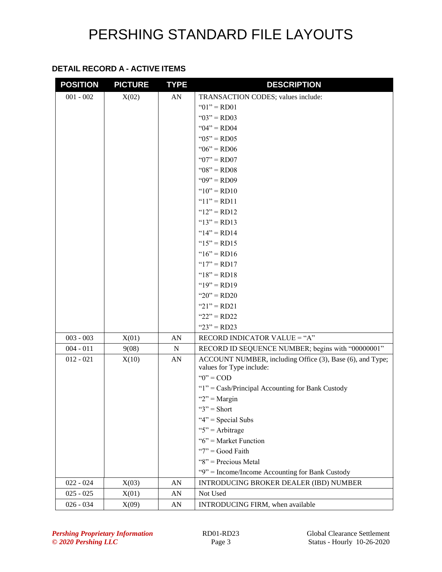#### **DETAIL RECORD A - ACTIVE ITEMS**

| $001 - 002$<br>X(02)<br>AN<br>TRANSACTION CODES; values include:<br>" $01$ " = RD01<br>" $03$ " = RD03<br>" $04$ " = RD04<br>" $05" = RD05$<br>" $06$ " = RD06 |
|----------------------------------------------------------------------------------------------------------------------------------------------------------------|
|                                                                                                                                                                |
|                                                                                                                                                                |
|                                                                                                                                                                |
|                                                                                                                                                                |
|                                                                                                                                                                |
|                                                                                                                                                                |
| " $07" = R D 07$                                                                                                                                               |
| " $08$ " = RD08                                                                                                                                                |
| " $09" = R D 09$                                                                                                                                               |
| " $10" = RD10$                                                                                                                                                 |
| " $11" = RD11$                                                                                                                                                 |
| " $12" = RD12$                                                                                                                                                 |
| " $13" = RD13$                                                                                                                                                 |
| " $14" = RD14$                                                                                                                                                 |
| " $15" = RD15$                                                                                                                                                 |
| " $16$ " = RD16                                                                                                                                                |
| " $17" = RD17$                                                                                                                                                 |
| " $18" = RD18$                                                                                                                                                 |
| " $19" = R D19$                                                                                                                                                |
| " $20$ " = RD20                                                                                                                                                |
| " $21$ " = RD21                                                                                                                                                |
| " $22$ " = RD22                                                                                                                                                |
| " $23$ " = RD23                                                                                                                                                |
| RECORD INDICATOR VALUE = "A"<br>$003 - 003$<br>X(01)<br>AN                                                                                                     |
| RECORD ID SEQUENCE NUMBER; begins with "00000001"<br>$004 - 011$<br>${\bf N}$<br>9(08)                                                                         |
| $012 - 021$<br>AN<br>X(10)<br>ACCOUNT NUMBER, including Office (3), Base (6), and Type;                                                                        |
| values for Type include:<br>" $0$ " = COD                                                                                                                      |
|                                                                                                                                                                |
| "1" = Cash/Principal Accounting for Bank Custody<br>" $2"$ = Margin                                                                                            |
| " $3"$ = Short                                                                                                                                                 |
| " $4$ " = Special Subs                                                                                                                                         |
| " $5$ " = Arbitrage                                                                                                                                            |
| " $6$ " = Market Function                                                                                                                                      |
| " $7"$ = Good Faith                                                                                                                                            |
| "8" = Precious Metal                                                                                                                                           |
| "9" = Income/Income Accounting for Bank Custody                                                                                                                |
| $022 - 024$<br>INTRODUCING BROKER DEALER (IBD) NUMBER<br>X(03)<br>AN                                                                                           |
| $025 - 025$<br>Not Used<br>X(01)<br>AN                                                                                                                         |
| $026 - 034$<br>INTRODUCING FIRM, when available<br>X(09)<br>AN                                                                                                 |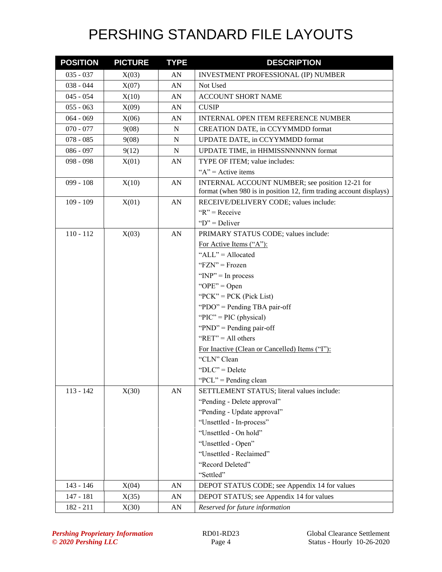| <b>POSITION</b> | <b>PICTURE</b> | <b>TYPE</b> | <b>DESCRIPTION</b>                                                                                                    |
|-----------------|----------------|-------------|-----------------------------------------------------------------------------------------------------------------------|
| $035 - 037$     | X(03)          | AN          | INVESTMENT PROFESSIONAL (IP) NUMBER                                                                                   |
| $038 - 044$     | X(07)          | AN          | Not Used                                                                                                              |
| $045 - 054$     | X(10)          | AN          | ACCOUNT SHORT NAME                                                                                                    |
| $055 - 063$     | X(09)          | AN          | <b>CUSIP</b>                                                                                                          |
| $064 - 069$     | X(06)          | AN          | <b>INTERNAL OPEN ITEM REFERENCE NUMBER</b>                                                                            |
| $070 - 077$     | 9(08)          | N           | CREATION DATE, in CCYYMMDD format                                                                                     |
| $078 - 085$     | 9(08)          | N           | UPDATE DATE, in CCYYMMDD format                                                                                       |
| $086 - 097$     | 9(12)          | N           | UPDATE TIME, in HHMISSNNNNNN format                                                                                   |
| $098 - 098$     | X(01)          | AN          | TYPE OF ITEM; value includes:                                                                                         |
|                 |                |             | " $A$ " = Active items                                                                                                |
| $099 - 108$     | X(10)          | AN          | INTERNAL ACCOUNT NUMBER; see position 12-21 for<br>format (when 980 is in position 12, firm trading account displays) |
| $109 - 109$     | X(01)          | AN          | RECEIVE/DELIVERY CODE; values include:                                                                                |
|                 |                |             | $R'' = \text{Receive}$                                                                                                |
|                 |                |             | " $D$ " = Deliver                                                                                                     |
| $110 - 112$     | X(03)          | AN          | PRIMARY STATUS CODE; values include:                                                                                  |
|                 |                |             | For Active Items ("A"):                                                                                               |
|                 |                |             | "ALL" = Allocated                                                                                                     |
|                 |                |             | " $FZN" = Frozen$                                                                                                     |
|                 |                |             | " $INP" = In process$                                                                                                 |
|                 |                |             | " $OPE" = Open$                                                                                                       |
|                 |                |             | " $PCK$ " = $PCK$ (Pick List)                                                                                         |
|                 |                |             | "PDO" = Pending TBA pair-off                                                                                          |
|                 |                |             | " $\text{PIC}$ " = PIC (physical)                                                                                     |
|                 |                |             | " $PND" =$ Pending pair-off                                                                                           |
|                 |                |             | " $RET" = All others$                                                                                                 |
|                 |                |             | For Inactive (Clean or Cancelled) Items ("I"):                                                                        |
|                 |                |             | "CLN" Clean                                                                                                           |
|                 |                |             | " $DLC$ " = Delete                                                                                                    |
|                 |                |             | "PCL" = Pending clean                                                                                                 |
| $113 - 142$     | X(30)          | AN          | SETTLEMENT STATUS; literal values include:                                                                            |
|                 |                |             | "Pending - Delete approval"                                                                                           |
|                 |                |             | "Pending - Update approval"                                                                                           |
|                 |                |             | "Unsettled - In-process"                                                                                              |
|                 |                |             | "Unsettled - On hold"                                                                                                 |
|                 |                |             | "Unsettled - Open"                                                                                                    |
|                 |                |             | "Unsettled - Reclaimed"                                                                                               |
|                 |                |             | "Record Deleted"                                                                                                      |
|                 |                |             | "Settled"                                                                                                             |
| 143 - 146       | X(04)          | AN          | DEPOT STATUS CODE; see Appendix 14 for values                                                                         |
| 147 - 181       | X(35)          | AN          | DEPOT STATUS; see Appendix 14 for values                                                                              |
| 182 - 211       | X(30)          | AN          | Reserved for future information                                                                                       |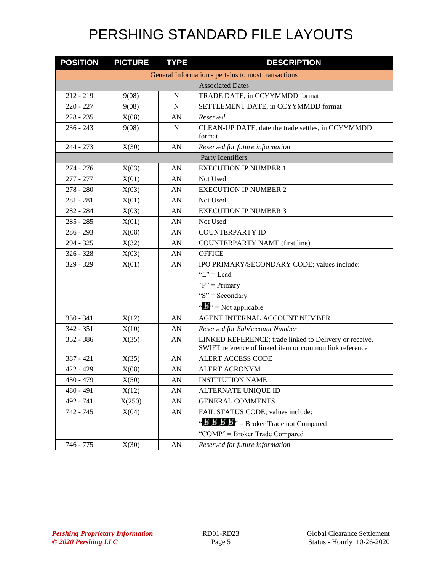| <b>POSITION</b>         | <b>PICTURE</b> | <b>TYPE</b> | <b>DESCRIPTION</b>                                                                                                |
|-------------------------|----------------|-------------|-------------------------------------------------------------------------------------------------------------------|
|                         |                |             | General Information - pertains to most transactions                                                               |
| <b>Associated Dates</b> |                |             |                                                                                                                   |
| $212 - 219$             | 9(08)          | N           | TRADE DATE, in CCYYMMDD format                                                                                    |
| $220 - 227$             | 9(08)          | N           | SETTLEMENT DATE, in CCYYMMDD format                                                                               |
| $228 - 235$             | X(08)          | AN          | Reserved                                                                                                          |
| $236 - 243$             | 9(08)          | $\mathbf N$ | CLEAN-UP DATE, date the trade settles, in CCYYMMDD<br>format                                                      |
| $244 - 273$             | X(30)          | AN          | Reserved for future information                                                                                   |
|                         |                |             | Party Identifiers                                                                                                 |
| $274 - 276$             | X(03)          | AN          | <b>EXECUTION IP NUMBER 1</b>                                                                                      |
| $277 - 277$             | X(01)          | AN          | Not Used                                                                                                          |
| $278 - 280$             | X(03)          | AN          | <b>EXECUTION IP NUMBER 2</b>                                                                                      |
| $281 - 281$             | X(01)          | AN          | Not Used                                                                                                          |
| 282 - 284               | X(03)          | AN          | <b>EXECUTION IP NUMBER 3</b>                                                                                      |
| $285 - 285$             | X(01)          | AN          | Not Used                                                                                                          |
| $286 - 293$             | X(08)          | AN          | <b>COUNTERPARTY ID</b>                                                                                            |
| 294 - 325               | X(32)          | AN          | <b>COUNTERPARTY NAME</b> (first line)                                                                             |
| $326 - 328$             | X(03)          | AN          | <b>OFFICE</b>                                                                                                     |
| 329 - 329               | X(01)          | AN          | IPO PRIMARY/SECONDARY CODE; values include:                                                                       |
|                         |                |             | " $L$ " = Lead                                                                                                    |
|                         |                |             | " $P$ " = Primary                                                                                                 |
|                         |                |             | "S" = Secondary                                                                                                   |
|                         |                |             | " $\mathbf{B}$ " = Not applicable                                                                                 |
| $330 - 341$             | X(12)          | AN          | AGENT INTERNAL ACCOUNT NUMBER                                                                                     |
| $342 - 351$             | X(10)          | AN          | Reserved for SubAccount Number                                                                                    |
| $352 - 386$             | X(35)          | AN          | LINKED REFERENCE; trade linked to Delivery or receive,<br>SWIFT reference of linked item or common link reference |
| $387 - 421$             | X(35)          | AN          | ALERT ACCESS CODE                                                                                                 |
| $422 - 429$             | X(08)          | AN          | <b>ALERT ACRONYM</b>                                                                                              |
| $430 - 479$             | X(50)          | ${\rm AN}$  | <b>INSTITUTION NAME</b>                                                                                           |
| $480 - 491$             | X(12)          | AN          | ALTERNATE UNIQUE ID                                                                                               |
| 492 - 741               | X(250)         | AN          | <b>GENERAL COMMENTS</b>                                                                                           |
| 742 - 745               | X(04)          | AN          | FAIL STATUS CODE; values include:                                                                                 |
|                         |                |             | " $\mathbf{B}' \mathbf{B}' \mathbf{B}'' =$ Broker Trade not Compared                                              |
|                         |                |             | "COMP" = Broker Trade Compared                                                                                    |
| 746 - 775               | X(30)          | AN          | Reserved for future information                                                                                   |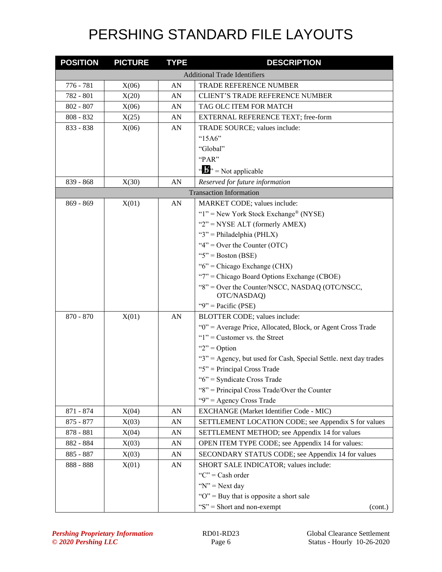| <b>POSITION</b> | <b>PICTURE</b> | <b>TYPE</b> | <b>DESCRIPTION</b>                                               |
|-----------------|----------------|-------------|------------------------------------------------------------------|
|                 |                |             | <b>Additional Trade Identifiers</b>                              |
| 776 - 781       | X(06)          | AN          | <b>TRADE REFERENCE NUMBER</b>                                    |
| 782 - 801       | X(20)          | AN          | <b>CLIENT'S TRADE REFERENCE NUMBER</b>                           |
| $802 - 807$     | X(06)          | AN          | TAG OLC ITEM FOR MATCH                                           |
| $808 - 832$     | X(25)          | AN          | EXTERNAL REFERENCE TEXT; free-form                               |
| 833 - 838       | X(06)          | AN          | TRADE SOURCE; values include:                                    |
|                 |                |             | " $15A6"$                                                        |
|                 |                |             | "Global"                                                         |
|                 |                |             | "PAR"                                                            |
|                 |                |             | $\cdots$ $\cdots$ $\cdots$ Not applicable                        |
| 839 - 868       | X(30)          | AN          | Reserved for future information                                  |
|                 |                |             | <b>Transaction Information</b>                                   |
| $869 - 869$     | X(01)          | AN          | MARKET CODE; values include:                                     |
|                 |                |             | " $1$ " = New York Stock Exchange® (NYSE)                        |
|                 |                |             | " $2$ " = NYSE ALT (formerly AMEX)                               |
|                 |                |             | " $3$ " = Philadelphia (PHLX)                                    |
|                 |                |             | " $4$ " = Over the Counter (OTC)                                 |
|                 |                |             | " $5$ " = Boston (BSE)                                           |
|                 |                |             | " $6$ " = Chicago Exchange (CHX)                                 |
|                 |                |             | "7" = Chicago Board Options Exchange (CBOE)                      |
|                 |                |             | "8" = Over the Counter/NSCC, NASDAQ (OTC/NSCC,<br>OTC/NASDAQ)    |
|                 |                |             | " $9$ " = Pacific (PSE)                                          |
| 870 - 870       | X(01)          | AN          | BLOTTER CODE; values include:                                    |
|                 |                |             | "0" = Average Price, Allocated, Block, or Agent Cross Trade      |
|                 |                |             | " $1$ " = Customer vs. the Street                                |
|                 |                |             | " $2$ " = Option                                                 |
|                 |                |             | "3" = Agency, but used for Cash, Special Settle. next day trades |
|                 |                |             | " $5$ " = Principal Cross Trade                                  |
|                 |                |             | "6" = Syndicate Cross Trade                                      |
|                 |                |             | "8" = Principal Cross Trade/Over the Counter                     |
|                 |                |             | "9" = Agency Cross Trade                                         |
| 871 - 874       | X(04)          | AN          | EXCHANGE (Market Identifier Code - MIC)                          |
| $875 - 877$     | X(03)          | AN          | SETTLEMENT LOCATION CODE; see Appendix S for values              |
| 878 - 881       | X(04)          | AN          | SETTLEMENT METHOD; see Appendix 14 for values                    |
| 882 - 884       | X(03)          | AN          | OPEN ITEM TYPE CODE; see Appendix 14 for values:                 |
| 885 - 887       | X(03)          | AN          | SECONDARY STATUS CODE; see Appendix 14 for values                |
| 888 - 888       | X(01)          | AN          | SHORT SALE INDICATOR; values include:                            |
|                 |                |             | " $C$ " = Cash order                                             |
|                 |                |             | " $N$ " = Next day                                               |
|                 |                |             | " $O$ " = Buy that is opposite a short sale                      |
|                 |                |             | " $S$ " = Short and non-exempt<br>(cont.)                        |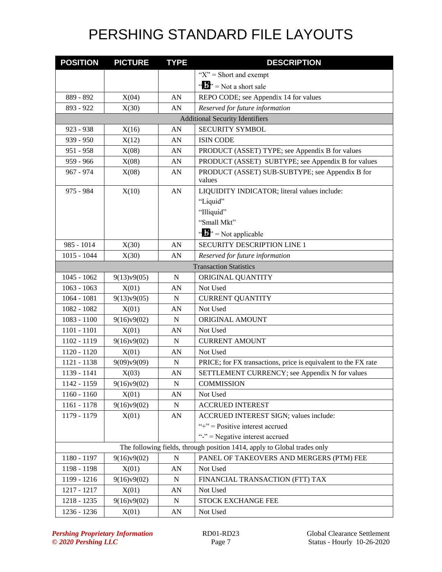| <b>POSITION</b> | <b>PICTURE</b> | <b>TYPE</b> | <b>DESCRIPTION</b>                                                       |
|-----------------|----------------|-------------|--------------------------------------------------------------------------|
|                 |                |             | " $X$ " = Short and exempt                                               |
|                 |                |             | " $\mathbf{B}$ " = Not a short sale                                      |
| 889 - 892       | X(04)          | AN          | REPO CODE; see Appendix 14 for values                                    |
| 893 - 922       | X(30)          | AN          | Reserved for future information                                          |
|                 |                |             | <b>Additional Security Identifiers</b>                                   |
| $923 - 938$     | X(16)          | AN          | <b>SECURITY SYMBOL</b>                                                   |
| 939 - 950       | X(12)          | AN          | <b>ISIN CODE</b>                                                         |
| 951 - 958       | X(08)          | AN          | PRODUCT (ASSET) TYPE; see Appendix B for values                          |
| 959 - 966       | X(08)          | AN          | PRODUCT (ASSET) SUBTYPE; see Appendix B for values                       |
| 967 - 974       | X(08)          | AN          | PRODUCT (ASSET) SUB-SUBTYPE; see Appendix B for<br>values                |
| 975 - 984       | X(10)          | AN          | LIQUIDITY INDICATOR; literal values include:                             |
|                 |                |             | "Liquid"                                                                 |
|                 |                |             | "Illiquid"                                                               |
|                 |                |             | "Small Mkt"                                                              |
|                 |                |             | " $\mathbf{B}$ " = Not applicable                                        |
| 985 - 1014      | X(30)          | AN          | <b>SECURITY DESCRIPTION LINE 1</b>                                       |
| $1015 - 1044$   | X(30)          | AN          | Reserved for future information                                          |
|                 |                |             | <b>Transaction Statistics</b>                                            |
| $1045 - 1062$   | 9(13)v9(05)    | N           | ORIGINAL QUANTITY                                                        |
| $1063 - 1063$   | X(01)          | AN          | Not Used                                                                 |
| $1064 - 1081$   | 9(13)v9(05)    | $\mathbf N$ | <b>CURRENT QUANTITY</b>                                                  |
| 1082 - 1082     | X(01)          | AN          | Not Used                                                                 |
| $1083 - 1100$   | 9(16)v9(02)    | $\mathbf N$ | ORIGINAL AMOUNT                                                          |
| $1101 - 1101$   | X(01)          | AN          | Not Used                                                                 |
| 1102 - 1119     | 9(16)v9(02)    | $\mathbf N$ | <b>CURRENT AMOUNT</b>                                                    |
| 1120 - 1120     | X(01)          | AN          | Not Used                                                                 |
| 1121 - 1138     | 9(09)v9(09)    | ${\bf N}$   | PRICE; for FX transactions, price is equivalent to the FX rate           |
| 1139 - 1141     | X(03)          | AN          | SETTLEMENT CURRENCY; see Appendix N for values                           |
| 1142 - 1159     | 9(16)v9(02)    | ${\bf N}$   | <b>COMMISSION</b>                                                        |
| $1160 - 1160$   | X(01)          | AN          | Not Used                                                                 |
| 1161 - 1178     | 9(16)v9(02)    | ${\bf N}$   | <b>ACCRUED INTEREST</b>                                                  |
| 1179 - 1179     | X(01)          | AN          | ACCRUED INTEREST SIGN; values include:                                   |
|                 |                |             | "+" = $Positive$ interest accrued                                        |
|                 |                |             | "-" = Negative interest accrued                                          |
|                 |                |             | The following fields, through position 1414, apply to Global trades only |
| 1180 - 1197     | 9(16)v9(02)    | $\mathbf N$ | PANEL OF TAKEOVERS AND MERGERS (PTM) FEE                                 |
| 1198 - 1198     | X(01)          | AN          | Not Used                                                                 |
| 1199 - 1216     | 9(16)v9(02)    | N           | FINANCIAL TRANSACTION (FTT) TAX                                          |
| 1217 - 1217     | X(01)          | AN          | Not Used                                                                 |
| 1218 - 1235     | 9(16)v9(02)    | ${\bf N}$   | STOCK EXCHANGE FEE                                                       |
| 1236 - 1236     | X(01)          | AN          | Not Used                                                                 |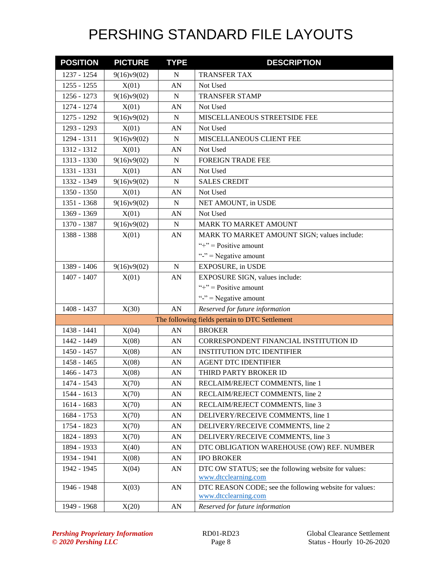| <b>POSITION</b> | <b>PICTURE</b> | <b>TYPE</b> | <b>DESCRIPTION</b>                                                           |
|-----------------|----------------|-------------|------------------------------------------------------------------------------|
| 1237 - 1254     | 9(16)v9(02)    | $\mathbf N$ | TRANSFER TAX                                                                 |
| $1255 - 1255$   | X(01)          | AN          | Not Used                                                                     |
| 1256 - 1273     | 9(16)v9(02)    | N           | <b>TRANSFER STAMP</b>                                                        |
| 1274 - 1274     | X(01)          | AN          | Not Used                                                                     |
| 1275 - 1292     | 9(16)v9(02)    | N           | MISCELLANEOUS STREETSIDE FEE                                                 |
| 1293 - 1293     | X(01)          | AN          | Not Used                                                                     |
| 1294 - 1311     | 9(16)v9(02)    | N           | MISCELLANEOUS CLIENT FEE                                                     |
| 1312 - 1312     | X(01)          | AN          | Not Used                                                                     |
| 1313 - 1330     | 9(16)y9(02)    | N           | <b>FOREIGN TRADE FEE</b>                                                     |
| 1331 - 1331     | X(01)          | AN          | Not Used                                                                     |
| 1332 - 1349     | 9(16)v9(02)    | $\mathbf N$ | <b>SALES CREDIT</b>                                                          |
| 1350 - 1350     | X(01)          | AN          | Not Used                                                                     |
| 1351 - 1368     | 9(16)v9(02)    | $\mathbf N$ | NET AMOUNT, in USDE                                                          |
| 1369 - 1369     | X(01)          | AN          | Not Used                                                                     |
| 1370 - 1387     | 9(16)v9(02)    | ${\bf N}$   | MARK TO MARKET AMOUNT                                                        |
| 1388 - 1388     | X(01)          | AN          | MARK TO MARKET AMOUNT SIGN; values include:                                  |
|                 |                |             | "+" = $Positive$ amount                                                      |
|                 |                |             | "-" = Negative amount                                                        |
| 1389 - 1406     | 9(16)v9(02)    | ${\bf N}$   | <b>EXPOSURE, in USDE</b>                                                     |
| 1407 - 1407     | X(01)          | AN          | EXPOSURE SIGN, values include:                                               |
|                 |                |             | "+" = $Positive$ amount                                                      |
|                 |                |             | "-" = Negative amount                                                        |
| 1408 - 1437     | X(30)          | AN          | Reserved for future information                                              |
|                 |                |             | The following fields pertain to DTC Settlement                               |
| 1438 - 1441     | X(04)          | AN          | <b>BROKER</b>                                                                |
| 1442 - 1449     | X(08)          | AN          | CORRESPONDENT FINANCIAL INSTITUTION ID                                       |
| 1450 - 1457     | X(08)          | AN          | <b>INSTITUTION DTC IDENTIFIER</b>                                            |
| 1458 - 1465     | X(08)          | AN          | <b>AGENT DTC IDENTIFIER</b>                                                  |
| 1466 - 1473     | X(08)          | AN          | THIRD PARTY BROKER ID                                                        |
| 1474 - 1543     | X(70)          | AN          | RECLAIM/REJECT COMMENTS, line 1                                              |
| 1544 - 1613     | X(70)          | AN          | RECLAIM/REJECT COMMENTS, line 2                                              |
| 1614 - 1683     | X(70)          | AN          | RECLAIM/REJECT COMMENTS, line 3                                              |
| 1684 - 1753     | X(70)          | AN          | DELIVERY/RECEIVE COMMENTS, line 1                                            |
| 1754 - 1823     | X(70)          | AN          | DELIVERY/RECEIVE COMMENTS, line 2                                            |
| 1824 - 1893     | X(70)          | AN          | DELIVERY/RECEIVE COMMENTS, line 3                                            |
| 1894 - 1933     | X(40)          | AN          | DTC OBLIGATION WAREHOUSE (OW) REF. NUMBER                                    |
| 1934 - 1941     | X(08)          | AN          | <b>IPO BROKER</b>                                                            |
| 1942 - 1945     | X(04)          | AN          | DTC OW STATUS; see the following website for values:<br>www.dtcclearning.com |
| 1946 - 1948     | X(03)          | AN          | DTC REASON CODE; see the following website for values:                       |
| 1949 - 1968     | X(20)          | AN          | www.dtcclearning.com<br>Reserved for future information                      |
|                 |                |             |                                                                              |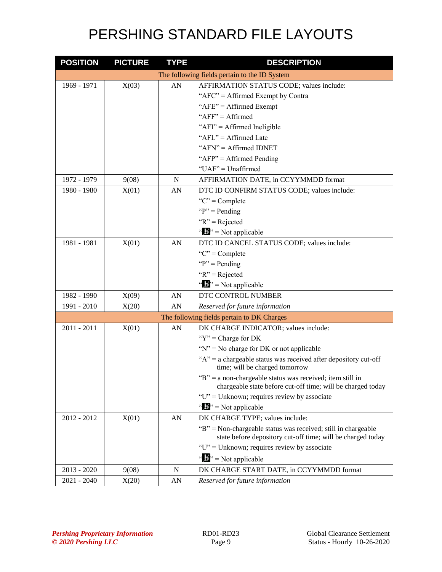| <b>POSITION</b> | <b>PICTURE</b> | <b>TYPE</b> | <b>DESCRIPTION</b>                                                                                                           |
|-----------------|----------------|-------------|------------------------------------------------------------------------------------------------------------------------------|
|                 |                |             | The following fields pertain to the ID System                                                                                |
| 1969 - 1971     | X(03)          | AN          | AFFIRMATION STATUS CODE; values include:                                                                                     |
|                 |                |             | "AFC" = Affirmed Exempt by Contra                                                                                            |
|                 |                |             | "AFE" = Affirmed Exempt                                                                                                      |
|                 |                |             | " $AFF" = Affirmed$                                                                                                          |
|                 |                |             | "AFI" = Affirmed Ineligible                                                                                                  |
|                 |                |             | "AFL" = Affirmed Late                                                                                                        |
|                 |                |             | " $AFN" = Affirmed IDNET$                                                                                                    |
|                 |                |             | " $AFP" = Affirmed$ Pending                                                                                                  |
|                 |                |             | $"UAF" = Unaffirmed$                                                                                                         |
| 1972 - 1979     | 9(08)          | $\mathbf N$ | AFFIRMATION DATE, in CCYYMMDD format                                                                                         |
| 1980 - 1980     | X(01)          | AN          | DTC ID CONFIRM STATUS CODE; values include:                                                                                  |
|                 |                |             | "C" = $Complete$                                                                                                             |
|                 |                |             | " $P$ " = Pending"                                                                                                           |
|                 |                |             | " $R$ " = Rejected                                                                                                           |
|                 |                |             | " $\mathbf{B}$ " = Not applicable                                                                                            |
| 1981 - 1981     | X(01)          | AN          | DTC ID CANCEL STATUS CODE; values include:                                                                                   |
|                 |                |             | "C" = $Complete$                                                                                                             |
|                 |                |             | " $P$ " = Pending                                                                                                            |
|                 |                |             | $R" = Rejected$                                                                                                              |
|                 |                |             | " $\mathbf{b}$ " = Not applicable                                                                                            |
| 1982 - 1990     | X(09)          | AN          | DTC CONTROL NUMBER                                                                                                           |
| 1991 - 2010     | X(20)          | AN          | Reserved for future information                                                                                              |
|                 |                |             | The following fields pertain to DK Charges                                                                                   |
| $2011 - 2011$   | X(01)          | AN          | DK CHARGE INDICATOR; values include:                                                                                         |
|                 |                |             | " $Y$ " = Charge for DK                                                                                                      |
|                 |                |             | " $N$ " = No charge for DK or not applicable                                                                                 |
|                 |                |             | " $A$ " = a chargeable status was received after depository cut-off<br>time; will be charged tomorrow                        |
|                 |                |             | "B" = a non-chargeable status was received; item still in<br>chargeable state before cut-off time; will be charged today     |
|                 |                |             | " $U$ " = Unknown; requires review by associate                                                                              |
|                 |                |             | " $\mathbf{B}$ " = Not applicable                                                                                            |
| 2012 - 2012     | X(01)          | AN          | DK CHARGE TYPE; values include:                                                                                              |
|                 |                |             | "B" = Non-chargeable status was received; still in chargeable<br>state before depository cut-off time; will be charged today |
|                 |                |             | " $U$ " = Unknown; requires review by associate                                                                              |
|                 |                |             | $\mathbf{B}^{\prime\prime}$ = Not applicable                                                                                 |
| $2013 - 2020$   | 9(08)          | N           | DK CHARGE START DATE, in CCYYMMDD format                                                                                     |
| 2021 - 2040     | X(20)          | AN          | Reserved for future information                                                                                              |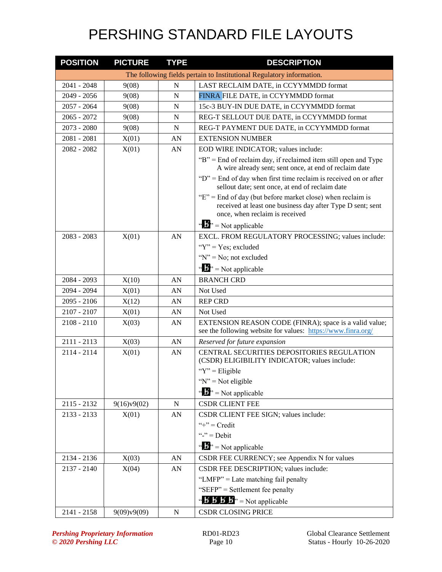| <b>POSITION</b> | <b>PICTURE</b> | <b>TYPE</b> | <b>DESCRIPTION</b>                                                                                                                                             |
|-----------------|----------------|-------------|----------------------------------------------------------------------------------------------------------------------------------------------------------------|
|                 |                |             | The following fields pertain to Institutional Regulatory information.                                                                                          |
| 2041 - 2048     | 9(08)          | $\mathbf N$ | LAST RECLAIM DATE, in CCYYMMDD format                                                                                                                          |
| 2049 - 2056     | 9(08)          | N           | FINRA FILE DATE, in CCYYMMDD format                                                                                                                            |
| $2057 - 2064$   | 9(08)          | N           | 15c-3 BUY-IN DUE DATE, in CCYYMMDD format                                                                                                                      |
| $2065 - 2072$   | 9(08)          | N           | REG-T SELLOUT DUE DATE, in CCYYMMDD format                                                                                                                     |
| 2073 - 2080     | 9(08)          | $\mathbf N$ | REG-T PAYMENT DUE DATE, in CCYYMMDD format                                                                                                                     |
| $2081 - 2081$   | X(01)          | AN          | <b>EXTENSION NUMBER</b>                                                                                                                                        |
| 2082 - 2082     | X(01)          | AN          | EOD WIRE INDICATOR; values include:                                                                                                                            |
|                 |                |             | "B" = End of reclaim day, if reclaimed item still open and Type<br>A wire already sent; sent once, at end of reclaim date                                      |
|                 |                |             | " $D$ " = End of day when first time reclaim is received on or after<br>sellout date; sent once, at end of reclaim date                                        |
|                 |                |             | " $E$ " = End of day (but before market close) when reclaim is<br>received at least one business day after Type D sent; sent<br>once, when reclaim is received |
|                 |                |             | $\mathbf{w} = \mathbf{N}$ = Not applicable                                                                                                                     |
| $2083 - 2083$   | X(01)          | AN          | EXCL. FROM REGULATORY PROCESSING; values include:                                                                                                              |
|                 |                |             | " $Y$ " = Yes; excluded                                                                                                                                        |
|                 |                |             | " $N$ " = No; not excluded                                                                                                                                     |
|                 |                |             | $\cdots$ $\cdots$ $\cdots$ Not applicable                                                                                                                      |
| 2084 - 2093     | X(10)          | AN          | <b>BRANCH CRD</b>                                                                                                                                              |
| 2094 - 2094     | X(01)          | AN          | Not Used                                                                                                                                                       |
| $2095 - 2106$   | X(12)          | AN          | <b>REP CRD</b>                                                                                                                                                 |
| 2107 - 2107     | X(01)          | AN          | Not Used                                                                                                                                                       |
| $2108 - 2110$   | X(03)          | AN          | EXTENSION REASON CODE (FINRA); space is a valid value;<br>see the following website for values: https://www.finra.org/                                         |
| $2111 - 2113$   | X(03)          | AN          | Reserved for future expansion                                                                                                                                  |
| $2114 - 2114$   | X(01)          | AN          | CENTRAL SECURITIES DEPOSITORIES REGULATION<br>(CSDR) ELIGIBILITY INDICATOR; values include:                                                                    |
|                 |                |             | " $Y$ " = Eligible                                                                                                                                             |
|                 |                |             | " $N$ " = Not eligible                                                                                                                                         |
|                 |                |             | " $\mathbf{b}$ " = Not applicable                                                                                                                              |
| 2115 - 2132     | 9(16)v9(02)    | ${\bf N}$   | <b>CSDR CLIENT FEE</b>                                                                                                                                         |
| $2133 - 2133$   | X(01)          | AN          | CSDR CLIENT FEE SIGN; values include:                                                                                                                          |
|                 |                |             | "+" = $Credit$                                                                                                                                                 |
|                 |                |             | "-" = $Debit$                                                                                                                                                  |
|                 |                |             | " $\mathbf{B}$ " = Not applicable                                                                                                                              |
| 2134 - 2136     | X(03)          | AN          | CSDR FEE CURRENCY; see Appendix N for values                                                                                                                   |
| $2137 - 2140$   | X(04)          | AN          | CSDR FEE DESCRIPTION; values include:                                                                                                                          |
|                 |                |             | "LMFP" = Late matching fail penalty                                                                                                                            |
|                 |                |             | "SEFP" = Settlement fee penalty                                                                                                                                |
|                 |                |             | " $\mathbf{B} \mathbf{B} \mathbf{B}'$ $\mathbf{B}'$ " = Not applicable                                                                                         |
| 2141 - 2158     | 9(09)v9(09)    | ${\bf N}$   | <b>CSDR CLOSING PRICE</b>                                                                                                                                      |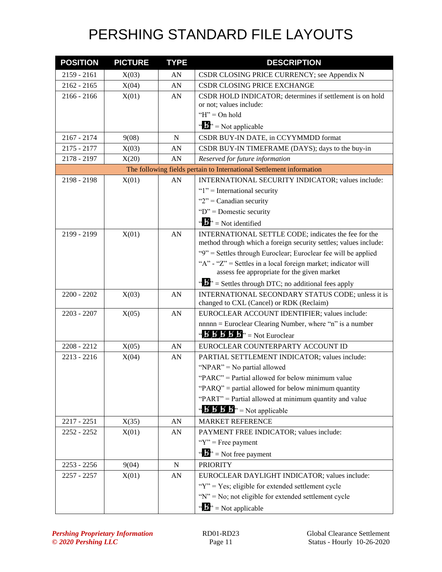| <b>POSITION</b> | <b>PICTURE</b> | <b>TYPE</b> | <b>DESCRIPTION</b>                                                                                                                 |
|-----------------|----------------|-------------|------------------------------------------------------------------------------------------------------------------------------------|
| 2159 - 2161     | X(03)          | AN          | CSDR CLOSING PRICE CURRENCY; see Appendix N                                                                                        |
| $2162 - 2165$   | X(04)          | AN          | CSDR CLOSING PRICE EXCHANGE                                                                                                        |
| $2166 - 2166$   | X(01)          | AN          | CSDR HOLD INDICATOR; determines if settlement is on hold                                                                           |
|                 |                |             | or not; values include:                                                                                                            |
|                 |                |             | " $H$ " = On hold                                                                                                                  |
|                 |                |             | " $\mathbf{B}$ " = Not applicable                                                                                                  |
| $2167 - 2174$   | 9(08)          | $\mathbf N$ | CSDR BUY-IN DATE, in CCYYMMDD format                                                                                               |
| 2175 - 2177     | X(03)          | AN          | CSDR BUY-IN TIMEFRAME (DAYS); days to the buy-in                                                                                   |
| 2178 - 2197     | X(20)          | AN          | Reserved for future information                                                                                                    |
|                 |                |             | The following fields pertain to International Settlement information                                                               |
| 2198 - 2198     | X(01)          | AN          | INTERNATIONAL SECURITY INDICATOR; values include:                                                                                  |
|                 |                |             | " $1$ " = International security                                                                                                   |
|                 |                |             | " $2$ " = Canadian security                                                                                                        |
|                 |                |             | " $D$ " = Domestic security                                                                                                        |
|                 |                |             | " $\mathbf{B}$ " = Not identified                                                                                                  |
| 2199 - 2199     | X(01)          | AN          | INTERNATIONAL SETTLE CODE; indicates the fee for the                                                                               |
|                 |                |             | method through which a foreign security settles; values include:<br>"9" = Settles through Euroclear; Euroclear fee will be applied |
|                 |                |             | "A" - "Z" = Settles in a local foreign market; indicator will                                                                      |
|                 |                |             | assess fee appropriate for the given market                                                                                        |
|                 |                |             | " $\mathbf{E}$ " = Settles through DTC; no additional fees apply                                                                   |
| $2200 - 2202$   | X(03)          | AN          | INTERNATIONAL SECONDARY STATUS CODE; unless it is                                                                                  |
|                 |                |             | changed to CXL (Cancel) or RDK (Reclaim)                                                                                           |
| 2203 - 2207     | X(05)          | AN          | EUROCLEAR ACCOUNT IDENTIFIER; values include:                                                                                      |
|                 |                |             | $nnnn = Euroclear Clearing Number, where "n" is a number$                                                                          |
|                 |                |             | " $\mathbf{B}'\mathbf{B}'\mathbf{B}'\mathbf{B}'$ $\mathbf{B}''$ = Not Euroclear                                                    |
| $2208 - 2212$   | X(05)          | AN          | EUROCLEAR COUNTERPARTY ACCOUNT ID                                                                                                  |
| $2213 - 2216$   | X(04)          | AN          | PARTIAL SETTLEMENT INDICATOR; values include:                                                                                      |
|                 |                |             | "NPAR" = No partial allowed                                                                                                        |
|                 |                |             | "PARC" = Partial allowed for below minimum value                                                                                   |
|                 |                |             | "PARQ" = partial allowed for below minimum quantity                                                                                |
|                 |                |             | "PART" = Partial allowed at minimum quantity and value                                                                             |
|                 |                |             | " $\mathbf{B}'$ $\mathbf{B}'$ $\mathbf{B}'$ " = Not applicable                                                                     |
| 2217 - 2251     | X(35)          | AN          | <b>MARKET REFERENCE</b>                                                                                                            |
| $2252 - 2252$   | X(01)          | AN          | PAYMENT FREE INDICATOR; values include:                                                                                            |
|                 |                |             | " $Y$ " = Free payment                                                                                                             |
|                 |                |             | " $\mathbf{J}^{\prime\prime}$ = Not free payment                                                                                   |
| 2253 - 2256     | 9(04)          | N           | <b>PRIORITY</b>                                                                                                                    |
| $2257 - 2257$   | X(01)          | AN          | EUROCLEAR DAYLIGHT INDICATOR; values include:                                                                                      |
|                 |                |             | "Y" = Yes; eligible for extended settlement cycle                                                                                  |
|                 |                |             | "N" = No; not eligible for extended settlement cycle                                                                               |
|                 |                |             | " $\mathbf{B}$ " = Not applicable                                                                                                  |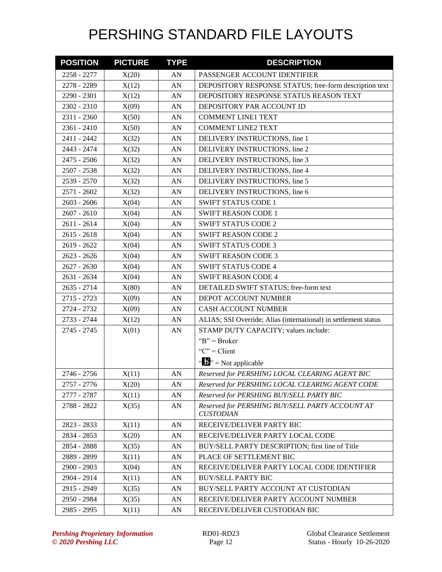| <b>POSITION</b> | <b>PICTURE</b> | <b>TYPE</b> | <b>DESCRIPTION</b>                                                  |
|-----------------|----------------|-------------|---------------------------------------------------------------------|
| 2258 - 2277     | X(20)          | AN          | PASSENGER ACCOUNT IDENTIFIER                                        |
| 2278 - 2289     | X(12)          | AN          | DEPOSITORY RESPONSE STATUS; free-form description text              |
| 2290 - 2301     | X(12)          | AN          | DEPOSITORY RESPONSE STATUS REASON TEXT                              |
| 2302 - 2310     | X(09)          | AN          | DEPOSITORY PAR ACCOUNT ID                                           |
| 2311 - 2360     | X(50)          | AN          | <b>COMMENT LINE1 TEXT</b>                                           |
| 2361 - 2410     | X(50)          | AN          | <b>COMMENT LINE2 TEXT</b>                                           |
| 2411 - 2442     | X(32)          | AN          | DELIVERY INSTRUCTIONS, line 1                                       |
| 2443 - 2474     | X(32)          | AN          | DELIVERY INSTRUCTIONS, line 2                                       |
| 2475 - 2506     | X(32)          | AN          | DELIVERY INSTRUCTIONS, line 3                                       |
| 2507 - 2538     | X(32)          | AN          | DELIVERY INSTRUCTIONS, line 4                                       |
| 2539 - 2570     | X(32)          | AN          | DELIVERY INSTRUCTIONS, line 5                                       |
| 2571 - 2602     | X(32)          | AN          | DELIVERY INSTRUCTIONS, line 6                                       |
| $2603 - 2606$   | X(04)          | AN          | <b>SWIFT STATUS CODE 1</b>                                          |
| $2607 - 2610$   | X(04)          | AN          | <b>SWIFT REASON CODE 1</b>                                          |
| 2611 - 2614     | X(04)          | AN          | <b>SWIFT STATUS CODE 2</b>                                          |
| $2615 - 2618$   | X(04)          | AN          | <b>SWIFT REASON CODE 2</b>                                          |
| 2619 - 2622     | X(04)          | AN          | <b>SWIFT STATUS CODE 3</b>                                          |
| $2623 - 2626$   | X(04)          | AN          | <b>SWIFT REASON CODE 3</b>                                          |
| $2627 - 2630$   | X(04)          | AN          | <b>SWIFT STATUS CODE 4</b>                                          |
| 2631 - 2634     | X(04)          | AN          | <b>SWIFT REASON CODE 4</b>                                          |
| 2635 - 2714     | X(80)          | AN          | DETAILED SWIFT STATUS; free-form text                               |
| 2715 - 2723     | X(09)          | AN          | DEPOT ACCOUNT NUMBER                                                |
| 2724 - 2732     | X(09)          | AN          | <b>CASH ACCOUNT NUMBER</b>                                          |
| 2733 - 2744     | X(12)          | AN          | ALIAS; SSI Override; Alias (international) in settlement status     |
| 2745 - 2745     | X(01)          | AN          | STAMP DUTY CAPACITY; values include:                                |
|                 |                |             | " $B$ " = Broker                                                    |
|                 |                |             | " $C$ " = Client                                                    |
|                 |                |             | $\mathbf{A}^{\prime\prime}$ = Not applicable                        |
| 2746 - 2756     | X(11)          | AN          | Reserved for PERSHING LOCAL CLEARING AGENT BIC                      |
| 2757 - 2776     | X(20)          | AN          | Reserved for PERSHING LOCAL CLEARING AGENT CODE                     |
| 2777 - 2787     | X(11)          | AN          | Reserved for PERSHING BUY/SELL PARTY BIC                            |
| 2788 - 2822     | X(35)          | AN          | Reserved for PERSHING BUY/SELL PARTY ACCOUNT AT<br><b>CUSTODIAN</b> |
| 2823 - 2833     | X(11)          | AN          | RECEIVE/DELIVER PARTY BIC                                           |
| 2834 - 2853     | X(20)          | AN          | RECEIVE/DELIVER PARTY LOCAL CODE                                    |
| 2854 - 2888     | X(35)          | AN          | BUY/SELL PARTY DESCRIPTION; first line of Title                     |
| 2889 - 2899     | X(11)          | AN          | PLACE OF SETTLEMENT BIC                                             |
| 2900 - 2903     | X(04)          | AN          | RECEIVE/DELIVER PARTY LOCAL CODE IDENTIFIER                         |
| 2904 - 2914     | X(11)          | AN          | <b>BUY/SELL PARTY BIC</b>                                           |
| 2915 - 2949     | X(35)          | AN          | BUY/SELL PARTY ACCOUNT AT CUSTODIAN                                 |
| 2950 - 2984     | X(35)          | AN          | RECEIVE/DELIVER PARTY ACCOUNT NUMBER                                |
| 2985 - 2995     | X(11)          | AN          | RECEIVE/DELIVER CUSTODIAN BIC                                       |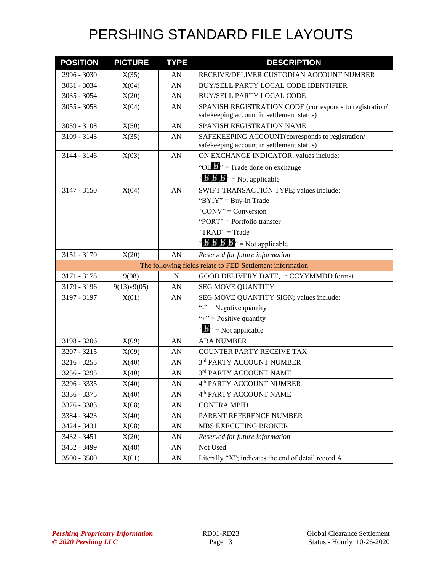| <b>POSITION</b> | <b>PICTURE</b> | <b>TYPE</b> | <b>DESCRIPTION</b>                                                                                   |
|-----------------|----------------|-------------|------------------------------------------------------------------------------------------------------|
| 2996 - 3030     | X(35)          | AN          | RECEIVE/DELIVER CUSTODIAN ACCOUNT NUMBER                                                             |
| 3031 - 3034     | X(04)          | AN          | BUY/SELL PARTY LOCAL CODE IDENTIFIER                                                                 |
| 3035 - 3054     | X(20)          | AN          | <b>BUY/SELL PARTY LOCAL CODE</b>                                                                     |
| $3055 - 3058$   | X(04)          | AN          | SPANISH REGISTRATION CODE (corresponds to registration/<br>safekeeping account in settlement status) |
| 3059 - 3108     | X(50)          | AN          | SPANISH REGISTRATION NAME                                                                            |
| 3109 - 3143     | X(35)          | AN          | SAFEKEEPING ACCOUNT(corresponds to registration/                                                     |
|                 |                |             | safekeeping account in settlement status)                                                            |
| 3144 - 3146     | X(03)          | AN          | ON EXCHANGE INDICATOR; values include:                                                               |
|                 |                |             | "OE $\mathbf{B}$ " = Trade done on exchange                                                          |
|                 |                |             | " $\mathbf{B} \mathbf{B}'$ $\mathbf{B}$ " = Not applicable                                           |
| $3147 - 3150$   | X(04)          | AN          | SWIFT TRANSACTION TYPE; values include:                                                              |
|                 |                |             | " $BYIY" = Buy-in Trade$                                                                             |
|                 |                |             | "CONV" = Conversion                                                                                  |
|                 |                |             | "PORT" = Portfolio transfer                                                                          |
|                 |                |             | "TRAD" = Trade                                                                                       |
|                 |                |             | " $\mathbf{B}'$ $\mathbf{B}'$ $\mathbf{B}'$ $\mathbf{B}''$ = Not applicable                          |
| 3151 - 3170     | X(20)          | AN          | Reserved for future information                                                                      |
|                 |                |             | The following fields relate to FED Settlement information                                            |
| 3171 - 3178     | 9(08)          | N           | GOOD DELIVERY DATE, in CCYYMMDD format                                                               |
| 3179 - 3196     | 9(13)v9(05)    | AN          | <b>SEG MOVE QUANTITY</b>                                                                             |
| 3197 - 3197     | X(01)          | AN          | SEG MOVE QUANTITY SIGN; values include:                                                              |
|                 |                |             | "-" = Negative quantity                                                                              |
|                 |                |             | "+" = Positive quantity                                                                              |
|                 |                |             | " $\mathbf{B}$ " = Not applicable                                                                    |
| 3198 - 3206     | X(09)          | AN          | <b>ABA NUMBER</b>                                                                                    |
| 3207 - 3215     | X(09)          | AN          | <b>COUNTER PARTY RECEIVE TAX</b>                                                                     |
| 3216 - 3255     | X(40)          | AN          | 3rd PARTY ACCOUNT NUMBER                                                                             |
| 3256 - 3295     | X(40)          | AN          | 3rd PARTY ACCOUNT NAME                                                                               |
| 3296 - 3335     | X(40)          | AN          | 4 <sup>th</sup> PARTY ACCOUNT NUMBER                                                                 |
| 3336 - 3375     | X(40)          | AN          | 4 <sup>th</sup> PARTY ACCOUNT NAME                                                                   |
| 3376 - 3383     | X(08)          | AN          | <b>CONTRA MPID</b>                                                                                   |
| 3384 - 3423     | X(40)          | AN          | PARENT REFERENCE NUMBER                                                                              |
| 3424 - 3431     | X(08)          | AN          | MBS EXECUTING BROKER                                                                                 |
| 3432 - 3451     | X(20)          | AN          | Reserved for future information                                                                      |
| 3452 - 3499     | X(48)          | AN          | Not Used                                                                                             |
| 3500 - 3500     | X(01)          | AN          | Literally "X"; indicates the end of detail record A                                                  |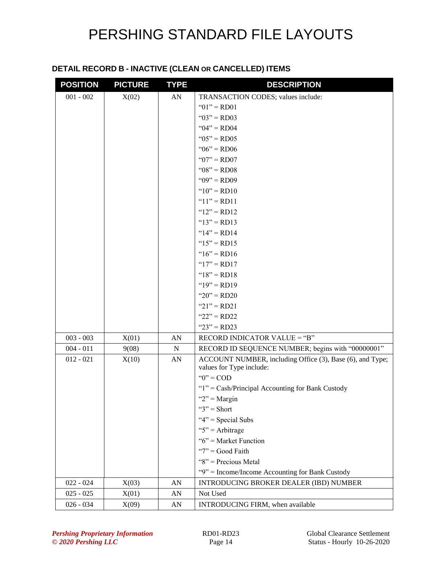#### **DETAIL RECORD B - INACTIVE (CLEAN OR CANCELLED) ITEMS**

| <b>POSITION</b> | <b>PICTURE</b> | <b>TYPE</b> | <b>DESCRIPTION</b>                                        |
|-----------------|----------------|-------------|-----------------------------------------------------------|
| $001 - 002$     | X(02)          | AN          | TRANSACTION CODES; values include:                        |
|                 |                |             | " $01$ " = RD01                                           |
|                 |                |             | " $03$ " = RD03                                           |
|                 |                |             | " $04$ " = RD04                                           |
|                 |                |             | " $05$ " = RD05                                           |
|                 |                |             | " $06$ " = RD06                                           |
|                 |                |             | " $07" = R$ D $07"$                                       |
|                 |                |             | " $08" = RD08$                                            |
|                 |                |             | " $09$ " = RD09                                           |
|                 |                |             | " $10" = RD10$                                            |
|                 |                |             | " $11" = RD11$                                            |
|                 |                |             | " $12" = RD12$                                            |
|                 |                |             | " $13" = RD13$                                            |
|                 |                |             | " $14$ " = RD14                                           |
|                 |                |             | " $15" = RD15$                                            |
|                 |                |             | " $16$ " = RD16                                           |
|                 |                |             | " $17" = RD17$                                            |
|                 |                |             | " $18" = RD18$                                            |
|                 |                |             | " $19" = R D 19$                                          |
|                 |                |             | " $20$ " = RD20                                           |
|                 |                |             | " $21$ " = RD21                                           |
|                 |                |             | " $22$ " = RD22                                           |
|                 |                |             | " $23" = RD23$                                            |
| $003 - 003$     | X(01)          | AN          | RECORD INDICATOR VALUE = "B"                              |
| $004 - 011$     | 9(08)          | $\mathbf N$ | RECORD ID SEQUENCE NUMBER; begins with "00000001"         |
| $012 - 021$     | X(10)          | AN          | ACCOUNT NUMBER, including Office (3), Base (6), and Type; |
|                 |                |             | values for Type include:                                  |
|                 |                |             | " $0$ " = COD                                             |
|                 |                |             | "1" = Cash/Principal Accounting for Bank Custody          |
|                 |                |             | " $2"$ = Margin                                           |
|                 |                |             | " $3$ " = Short                                           |
|                 |                |             | " $4$ " = Special Subs                                    |
|                 |                |             | " $5$ " = Arbitrage                                       |
|                 |                |             | " $6$ " = Market Function                                 |
|                 |                |             | " $7"$ = Good Faith<br>"8" = Precious Metal               |
|                 |                |             |                                                           |
|                 |                |             | "9" = Income/Income Accounting for Bank Custody           |
| $022 - 024$     | X(03)          | AN          | INTRODUCING BROKER DEALER (IBD) NUMBER                    |
| $025 - 025$     | X(01)          | AN          | Not Used                                                  |
| $026 - 034$     | X(09)          | AN          | INTRODUCING FIRM, when available                          |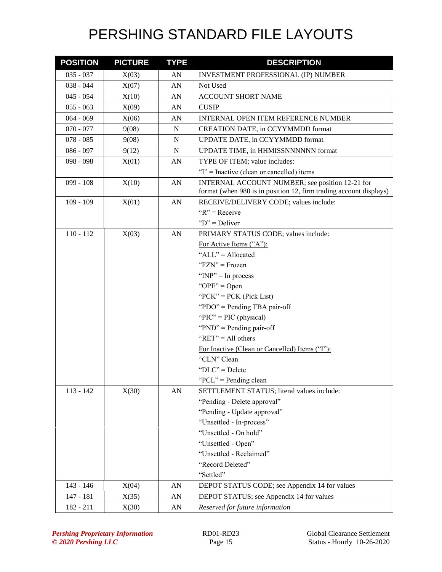| <b>POSITION</b> | <b>PICTURE</b> | <b>TYPE</b> | <b>DESCRIPTION</b>                                                                                                    |
|-----------------|----------------|-------------|-----------------------------------------------------------------------------------------------------------------------|
| $035 - 037$     | X(03)          | AN          | INVESTMENT PROFESSIONAL (IP) NUMBER                                                                                   |
| $038 - 044$     | X(07)          | AN          | Not Used                                                                                                              |
| $045 - 054$     | X(10)          | AN          | <b>ACCOUNT SHORT NAME</b>                                                                                             |
| $055 - 063$     | X(09)          | AN          | <b>CUSIP</b>                                                                                                          |
| $064 - 069$     | X(06)          | AN          | <b>INTERNAL OPEN ITEM REFERENCE NUMBER</b>                                                                            |
| $070 - 077$     | 9(08)          | N           | <b>CREATION DATE, in CCYYMMDD format</b>                                                                              |
| $078 - 085$     | 9(08)          | N           | UPDATE DATE, in CCYYMMDD format                                                                                       |
| $086 - 097$     | 9(12)          | N           | UPDATE TIME, in HHMISSNNNNNN format                                                                                   |
| $098 - 098$     | X(01)          | AN          | TYPE OF ITEM; value includes:                                                                                         |
|                 |                |             | "I" = Inactive (clean or cancelled) items                                                                             |
| $099 - 108$     | X(10)          | AN          | INTERNAL ACCOUNT NUMBER; see position 12-21 for<br>format (when 980 is in position 12, firm trading account displays) |
| $109 - 109$     | X(01)          | AN          | RECEIVE/DELIVERY CODE; values include:                                                                                |
|                 |                |             | $R'' = \text{Receive}$                                                                                                |
|                 |                |             | " $D$ " = Deliver                                                                                                     |
| $110 - 112$     | X(03)          | AN          | PRIMARY STATUS CODE; values include:                                                                                  |
|                 |                |             | For Active Items ("A"):                                                                                               |
|                 |                |             | "ALL" = Allocated                                                                                                     |
|                 |                |             | " $FZN" = Frozen$                                                                                                     |
|                 |                |             | " $INP" = In process$                                                                                                 |
|                 |                |             | " $OPE" = Open$                                                                                                       |
|                 |                |             | " $PCK$ " = $PCK$ (Pick List)                                                                                         |
|                 |                |             | "PDO" = Pending TBA pair-off                                                                                          |
|                 |                |             | " $\text{PIC}$ " = PIC (physical)                                                                                     |
|                 |                |             | " $PND" =$ Pending pair-off                                                                                           |
|                 |                |             | " $RET" = All others$                                                                                                 |
|                 |                |             | For Inactive (Clean or Cancelled) Items ("I"):                                                                        |
|                 |                |             | "CLN" Clean                                                                                                           |
|                 |                |             | " $DLC$ " = Delete                                                                                                    |
|                 |                |             | "PCL" = Pending clean                                                                                                 |
| $113 - 142$     | X(30)          | AN          | SETTLEMENT STATUS; literal values include:                                                                            |
|                 |                |             | "Pending - Delete approval"                                                                                           |
|                 |                |             | "Pending - Update approval"                                                                                           |
|                 |                |             | "Unsettled - In-process"                                                                                              |
|                 |                |             | "Unsettled - On hold"                                                                                                 |
|                 |                |             | "Unsettled - Open"                                                                                                    |
|                 |                |             | "Unsettled - Reclaimed"                                                                                               |
|                 |                |             | "Record Deleted"                                                                                                      |
|                 |                |             | "Settled"                                                                                                             |
| 143 - 146       | X(04)          | AN          | DEPOT STATUS CODE; see Appendix 14 for values                                                                         |
| 147 - 181       | X(35)          | AN          | DEPOT STATUS; see Appendix 14 for values                                                                              |
| 182 - 211       | X(30)          | AN          | Reserved for future information                                                                                       |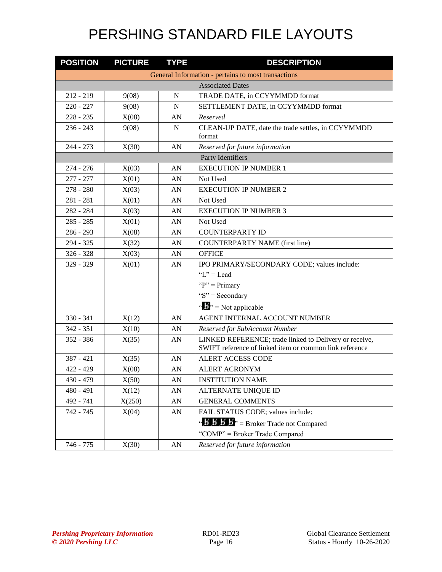| <b>POSITION</b>                                     | <b>PICTURE</b>          | <b>TYPE</b>      | <b>DESCRIPTION</b>                                                                                                |  |  |  |
|-----------------------------------------------------|-------------------------|------------------|-------------------------------------------------------------------------------------------------------------------|--|--|--|
| General Information - pertains to most transactions |                         |                  |                                                                                                                   |  |  |  |
|                                                     | <b>Associated Dates</b> |                  |                                                                                                                   |  |  |  |
| $212 - 219$                                         | 9(08)                   | N                | TRADE DATE, in CCYYMMDD format                                                                                    |  |  |  |
| $220 - 227$                                         | 9(08)                   | N                | SETTLEMENT DATE, in CCYYMMDD format                                                                               |  |  |  |
| $228 - 235$                                         | X(08)                   | AN               | Reserved                                                                                                          |  |  |  |
| $236 - 243$                                         | 9(08)                   | $\mathbf N$      | CLEAN-UP DATE, date the trade settles, in CCYYMMDD<br>format                                                      |  |  |  |
| $244 - 273$                                         | X(30)                   | AN               | Reserved for future information                                                                                   |  |  |  |
|                                                     |                         |                  | Party Identifiers                                                                                                 |  |  |  |
| $274 - 276$                                         | X(03)                   | AN               | <b>EXECUTION IP NUMBER 1</b>                                                                                      |  |  |  |
| $277 - 277$                                         | X(01)                   | AN               | Not Used                                                                                                          |  |  |  |
| $278 - 280$                                         | X(03)                   | AN               | <b>EXECUTION IP NUMBER 2</b>                                                                                      |  |  |  |
| $281 - 281$                                         | X(01)                   | AN               | Not Used                                                                                                          |  |  |  |
| 282 - 284                                           | X(03)                   | AN               | <b>EXECUTION IP NUMBER 3</b>                                                                                      |  |  |  |
| $285 - 285$                                         | X(01)                   | AN               | Not Used                                                                                                          |  |  |  |
| $286 - 293$                                         | X(08)                   | AN               | <b>COUNTERPARTY ID</b>                                                                                            |  |  |  |
| 294 - 325                                           | X(32)                   | AN               | <b>COUNTERPARTY NAME (first line)</b>                                                                             |  |  |  |
| $326 - 328$                                         | X(03)                   | AN               | <b>OFFICE</b>                                                                                                     |  |  |  |
| 329 - 329                                           | X(01)                   | AN               | IPO PRIMARY/SECONDARY CODE; values include:                                                                       |  |  |  |
|                                                     |                         |                  | " $L$ " = Lead                                                                                                    |  |  |  |
|                                                     |                         |                  | " $P$ " = Primary                                                                                                 |  |  |  |
|                                                     |                         |                  | "S" = Secondary                                                                                                   |  |  |  |
|                                                     |                         |                  | " $\mathbf{B}^{\prime\prime}$ " = Not applicable                                                                  |  |  |  |
| $330 - 341$                                         | X(12)                   | AN               | AGENT INTERNAL ACCOUNT NUMBER                                                                                     |  |  |  |
| $342 - 351$                                         | X(10)                   | AN               | Reserved for SubAccount Number                                                                                    |  |  |  |
| $352 - 386$                                         | X(35)                   | AN               | LINKED REFERENCE; trade linked to Delivery or receive,<br>SWIFT reference of linked item or common link reference |  |  |  |
| $387 - 421$                                         | X(35)                   | AN               | ALERT ACCESS CODE                                                                                                 |  |  |  |
| $422 - 429$                                         | X(08)                   | AN               | <b>ALERT ACRONYM</b>                                                                                              |  |  |  |
| $430 - 479$                                         | X(50)                   | ${\sf A}{\sf N}$ | <b>INSTITUTION NAME</b>                                                                                           |  |  |  |
| $480 - 491$                                         | X(12)                   | AN               | ALTERNATE UNIQUE ID                                                                                               |  |  |  |
| 492 - 741                                           | X(250)                  | AN               | <b>GENERAL COMMENTS</b>                                                                                           |  |  |  |
| 742 - 745                                           | X(04)                   | AN               | FAIL STATUS CODE; values include:                                                                                 |  |  |  |
|                                                     |                         |                  | " $\mathbf{B}' \mathbf{B}' \mathbf{B}'' =$ Broker Trade not Compared                                              |  |  |  |
|                                                     |                         |                  | "COMP" = Broker Trade Compared                                                                                    |  |  |  |
| 746 - 775                                           | X(30)                   | AN               | Reserved for future information                                                                                   |  |  |  |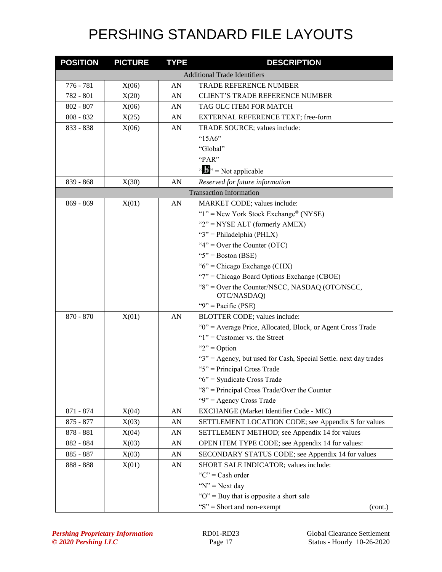| <b>POSITION</b> | <b>PICTURE</b> | <b>TYPE</b> | <b>DESCRIPTION</b>                                               |
|-----------------|----------------|-------------|------------------------------------------------------------------|
|                 |                |             | <b>Additional Trade Identifiers</b>                              |
| 776 - 781       | X(06)          | AN          | <b>TRADE REFERENCE NUMBER</b>                                    |
| 782 - 801       | X(20)          | AN          | <b>CLIENT'S TRADE REFERENCE NUMBER</b>                           |
| $802 - 807$     | X(06)          | AN          | TAG OLC ITEM FOR MATCH                                           |
| $808 - 832$     | X(25)          | AN          | EXTERNAL REFERENCE TEXT; free-form                               |
| 833 - 838       | X(06)          | AN          | TRADE SOURCE; values include:                                    |
|                 |                |             | " $15A6"$                                                        |
|                 |                |             | "Global"                                                         |
|                 |                |             | "PAR"                                                            |
|                 |                |             | $\cdots$ $\cdots$ $\cdots$ Not applicable                        |
| 839 - 868       | X(30)          | AN          | Reserved for future information                                  |
|                 |                |             | <b>Transaction Information</b>                                   |
| $869 - 869$     | X(01)          | AN          | MARKET CODE; values include:                                     |
|                 |                |             | " $1$ " = New York Stock Exchange® (NYSE)                        |
|                 |                |             | " $2"$ = NYSE ALT (formerly AMEX)                                |
|                 |                |             | " $3$ " = Philadelphia (PHLX)                                    |
|                 |                |             | " $4$ " = Over the Counter (OTC)                                 |
|                 |                |             | "5" = Boston (BSE)                                               |
|                 |                |             | " $6$ " = Chicago Exchange (CHX)                                 |
|                 |                |             | "7" = Chicago Board Options Exchange (CBOE)                      |
|                 |                |             | "8" = Over the Counter/NSCC, NASDAQ (OTC/NSCC,<br>OTC/NASDAQ)    |
|                 |                |             | "9" = Pacific (PSE)                                              |
| 870 - 870       | X(01)          | AN          | BLOTTER CODE; values include:                                    |
|                 |                |             | "0" = Average Price, Allocated, Block, or Agent Cross Trade      |
|                 |                |             | " $1$ " = Customer vs. the Street                                |
|                 |                |             | " $2"$ = Option"                                                 |
|                 |                |             | "3" = Agency, but used for Cash, Special Settle. next day trades |
|                 |                |             | " $5$ " = Principal Cross Trade                                  |
|                 |                |             | "6" = Syndicate Cross Trade                                      |
|                 |                |             | "8" = Principal Cross Trade/Over the Counter                     |
|                 |                |             | "9" = Agency Cross Trade                                         |
| 871 - 874       | X(04)          | AN          | EXCHANGE (Market Identifier Code - MIC)                          |
| $875 - 877$     | X(03)          | AN          | SETTLEMENT LOCATION CODE; see Appendix S for values              |
| 878 - 881       | X(04)          | AN          | SETTLEMENT METHOD; see Appendix 14 for values                    |
| 882 - 884       | X(03)          | AN          | OPEN ITEM TYPE CODE; see Appendix 14 for values:                 |
| 885 - 887       | X(03)          | AN          | SECONDARY STATUS CODE; see Appendix 14 for values                |
| 888 - 888       | X(01)          | AN          | SHORT SALE INDICATOR; values include:                            |
|                 |                |             | " $C$ " = Cash order                                             |
|                 |                |             | " $N$ " = Next day                                               |
|                 |                |             | " $O$ " = Buy that is opposite a short sale                      |
|                 |                |             | " $S$ " = Short and non-exempt<br>(cont.)                        |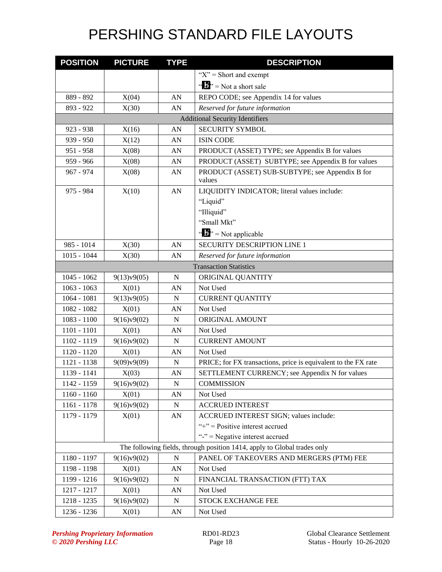| <b>POSITION</b> | <b>PICTURE</b> | <b>TYPE</b> | <b>DESCRIPTION</b>                                                       |
|-----------------|----------------|-------------|--------------------------------------------------------------------------|
|                 |                |             | " $X$ " = Short and exempt                                               |
|                 |                |             | " $\mathbf{B}$ " = Not a short sale                                      |
| 889 - 892       | X(04)          | AN          | REPO CODE; see Appendix 14 for values                                    |
| 893 - 922       | X(30)          | AN          | Reserved for future information                                          |
|                 |                |             | <b>Additional Security Identifiers</b>                                   |
| $923 - 938$     | X(16)          | AN          | <b>SECURITY SYMBOL</b>                                                   |
| 939 - 950       | X(12)          | AN          | <b>ISIN CODE</b>                                                         |
| 951 - 958       | X(08)          | AN          | PRODUCT (ASSET) TYPE; see Appendix B for values                          |
| 959 - 966       | X(08)          | AN          | PRODUCT (ASSET) SUBTYPE; see Appendix B for values                       |
| 967 - 974       | X(08)          | AN          | PRODUCT (ASSET) SUB-SUBTYPE; see Appendix B for<br>values                |
| 975 - 984       | X(10)          | AN          | LIQUIDITY INDICATOR; literal values include:                             |
|                 |                |             | "Liquid"                                                                 |
|                 |                |             | "Illiquid"                                                               |
|                 |                |             | "Small Mkt"                                                              |
|                 |                |             | " $\mathbf{B}$ " = Not applicable                                        |
| 985 - 1014      | X(30)          | AN          | <b>SECURITY DESCRIPTION LINE 1</b>                                       |
| $1015 - 1044$   | X(30)          | AN          | Reserved for future information                                          |
|                 |                |             | <b>Transaction Statistics</b>                                            |
| $1045 - 1062$   | 9(13)v9(05)    | N           | ORIGINAL QUANTITY                                                        |
| $1063 - 1063$   | X(01)          | AN          | Not Used                                                                 |
| $1064 - 1081$   | 9(13)v9(05)    | $\mathbf N$ | <b>CURRENT QUANTITY</b>                                                  |
| 1082 - 1082     | X(01)          | AN          | Not Used                                                                 |
| $1083 - 1100$   | 9(16)v9(02)    | $\mathbf N$ | ORIGINAL AMOUNT                                                          |
| $1101 - 1101$   | X(01)          | AN          | Not Used                                                                 |
| 1102 - 1119     | 9(16)v9(02)    | $\mathbf N$ | <b>CURRENT AMOUNT</b>                                                    |
| 1120 - 1120     | X(01)          | AN          | Not Used                                                                 |
| 1121 - 1138     | 9(09)v9(09)    | ${\bf N}$   | PRICE; for FX transactions, price is equivalent to the FX rate           |
| 1139 - 1141     | X(03)          | AN          | SETTLEMENT CURRENCY; see Appendix N for values                           |
| 1142 - 1159     | 9(16)v9(02)    | ${\bf N}$   | <b>COMMISSION</b>                                                        |
| $1160 - 1160$   | X(01)          | AN          | Not Used                                                                 |
| 1161 - 1178     | 9(16)v9(02)    | ${\bf N}$   | <b>ACCRUED INTEREST</b>                                                  |
| 1179 - 1179     | X(01)          | AN          | ACCRUED INTEREST SIGN; values include:                                   |
|                 |                |             | "+" = $Positive$ interest accrued                                        |
|                 |                |             | "-" = Negative interest accrued                                          |
|                 |                |             | The following fields, through position 1414, apply to Global trades only |
| 1180 - 1197     | 9(16)v9(02)    | $\mathbf N$ | PANEL OF TAKEOVERS AND MERGERS (PTM) FEE                                 |
| 1198 - 1198     | X(01)          | AN          | Not Used                                                                 |
| 1199 - 1216     | 9(16)v9(02)    | N           | FINANCIAL TRANSACTION (FTT) TAX                                          |
| 1217 - 1217     | X(01)          | AN          | Not Used                                                                 |
| 1218 - 1235     | 9(16)v9(02)    | ${\bf N}$   | STOCK EXCHANGE FEE                                                       |
| 1236 - 1236     | X(01)          | AN          | Not Used                                                                 |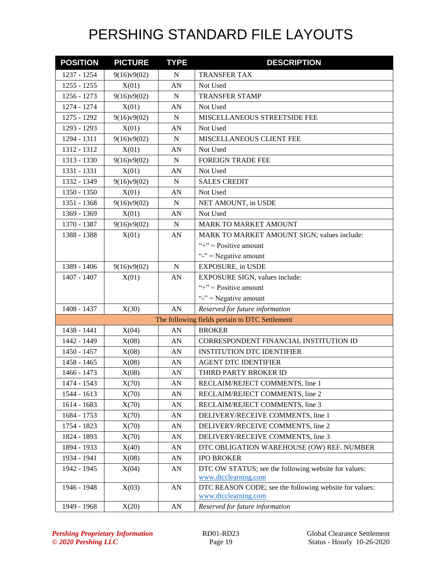| <b>POSITION</b> | <b>PICTURE</b> | <b>TYPE</b>      | <b>DESCRIPTION</b>                                                             |
|-----------------|----------------|------------------|--------------------------------------------------------------------------------|
| 1237 - 1254     | 9(16)v9(02)    | N                | TRANSFER TAX                                                                   |
| $1255 - 1255$   | X(01)          | AN               | Not Used                                                                       |
| 1256 - 1273     | 9(16)v9(02)    | N                | <b>TRANSFER STAMP</b>                                                          |
| 1274 - 1274     | X(01)          | AN               | Not Used                                                                       |
| 1275 - 1292     | 9(16)v9(02)    | N                | MISCELLANEOUS STREETSIDE FEE                                                   |
| 1293 - 1293     | X(01)          | AN               | Not Used                                                                       |
| 1294 - 1311     | 9(16)v9(02)    | N                | MISCELLANEOUS CLIENT FEE                                                       |
| 1312 - 1312     | X(01)          | AN               | Not Used                                                                       |
| 1313 - 1330     | 9(16)v9(02)    | N                | <b>FOREIGN TRADE FEE</b>                                                       |
| 1331 - 1331     | X(01)          | AN               | Not Used                                                                       |
| 1332 - 1349     | 9(16)v9(02)    | $\mathbf N$      | <b>SALES CREDIT</b>                                                            |
| 1350 - 1350     | X(01)          | AN               | Not Used                                                                       |
| 1351 - 1368     | 9(16)v9(02)    | N                | NET AMOUNT, in USDE                                                            |
| 1369 - 1369     | X(01)          | AN               | Not Used                                                                       |
| 1370 - 1387     | 9(16)v9(02)    | ${\bf N}$        | <b>MARK TO MARKET AMOUNT</b>                                                   |
| 1388 - 1388     | X(01)          | AN               | MARK TO MARKET AMOUNT SIGN; values include:                                    |
|                 |                |                  | "+" = $Positive$ amount                                                        |
|                 |                |                  | "-" = Negative amount                                                          |
| 1389 - 1406     | 9(16)v9(02)    | N                | <b>EXPOSURE, in USDE</b>                                                       |
| 1407 - 1407     | X(01)          | ${\sf A}{\sf N}$ | EXPOSURE SIGN, values include:                                                 |
|                 |                |                  | "+" = $Positive$ amount                                                        |
|                 |                |                  | "-" = Negative amount                                                          |
| 1408 - 1437     | X(30)          | AN               | Reserved for future information                                                |
|                 |                |                  | The following fields pertain to DTC Settlement                                 |
| 1438 - 1441     | X(04)          | AN               | <b>BROKER</b>                                                                  |
| 1442 - 1449     | X(08)          | AN               | CORRESPONDENT FINANCIAL INSTITUTION ID                                         |
| 1450 - 1457     | X(08)          | AN               | <b>INSTITUTION DTC IDENTIFIER</b>                                              |
| 1458 - 1465     | X(08)          | AN               | <b>AGENT DTC IDENTIFIER</b>                                                    |
| 1466 - 1473     | X(08)          | AN               | THIRD PARTY BROKER ID                                                          |
| 1474 - 1543     | X(70)          | AN               | RECLAIM/REJECT COMMENTS, line 1                                                |
| 1544 - 1613     | X(70)          | AN               | RECLAIM/REJECT COMMENTS, line 2                                                |
| 1614 - 1683     | X(70)          | AN               | RECLAIM/REJECT COMMENTS, line 3                                                |
| 1684 - 1753     | X(70)          | AN               | DELIVERY/RECEIVE COMMENTS, line 1                                              |
| 1754 - 1823     | X(70)          | AN               | DELIVERY/RECEIVE COMMENTS, line 2                                              |
| 1824 - 1893     | X(70)          | AN               | DELIVERY/RECEIVE COMMENTS, line 3                                              |
| 1894 - 1933     | X(40)          | AN               | DTC OBLIGATION WAREHOUSE (OW) REF. NUMBER                                      |
| 1934 - 1941     | X(08)          | AN               | <b>IPO BROKER</b>                                                              |
| 1942 - 1945     | X(04)          | AN               | DTC OW STATUS; see the following website for values:<br>www.dtcclearning.com   |
| 1946 - 1948     | X(03)          | ${\sf A}{\sf N}$ | DTC REASON CODE; see the following website for values:<br>www.dtcclearning.com |
| 1949 - 1968     | X(20)          | ${\bf A}{\bf N}$ | Reserved for future information                                                |
|                 |                |                  |                                                                                |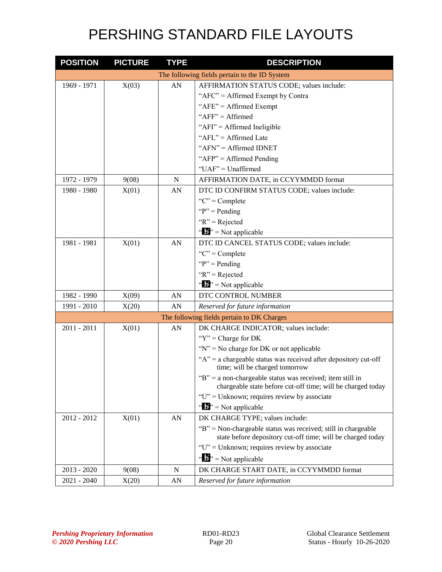| <b>POSITION</b> | <b>PICTURE</b> | <b>TYPE</b> | <b>DESCRIPTION</b>                                                                                                           |
|-----------------|----------------|-------------|------------------------------------------------------------------------------------------------------------------------------|
|                 |                |             | The following fields pertain to the ID System                                                                                |
| 1969 - 1971     | X(03)          | AN          | AFFIRMATION STATUS CODE; values include:                                                                                     |
|                 |                |             | "AFC" = Affirmed Exempt by Contra                                                                                            |
|                 |                |             | " $AFE" = Affirmed Exempt$                                                                                                   |
|                 |                |             | " $AFF" = Affirmed$                                                                                                          |
|                 |                |             | "AFI" = Affirmed Ineligible                                                                                                  |
|                 |                |             | "AFL" = Affirmed Late                                                                                                        |
|                 |                |             | " $AFN" = Affirmed IDNET$                                                                                                    |
|                 |                |             | " $AFP" = Affirmed$ Pending                                                                                                  |
|                 |                |             | "UAF" = Unaffirmed                                                                                                           |
| 1972 - 1979     | 9(08)          | $\mathbf N$ | AFFIRMATION DATE, in CCYYMMDD format                                                                                         |
| 1980 - 1980     | X(01)          | AN          | DTC ID CONFIRM STATUS CODE; values include:                                                                                  |
|                 |                |             | "C" = $Complete$                                                                                                             |
|                 |                |             | " $P$ " = Pending"                                                                                                           |
|                 |                |             | " $R$ " = Rejected                                                                                                           |
|                 |                |             | " $\mathbf{B}$ " = Not applicable                                                                                            |
| 1981 - 1981     | X(01)          | AN          | DTC ID CANCEL STATUS CODE; values include:                                                                                   |
|                 |                |             | "C" = $Complete$                                                                                                             |
|                 |                |             | " $P$ " = Pending"                                                                                                           |
|                 |                |             | " $R$ " = Rejected                                                                                                           |
|                 |                |             | " $\mathbf{b}$ " = Not applicable                                                                                            |
| 1982 - 1990     | X(09)          | AN          | DTC CONTROL NUMBER                                                                                                           |
| 1991 - 2010     | X(20)          | AN          | Reserved for future information                                                                                              |
|                 |                |             | The following fields pertain to DK Charges                                                                                   |
| $2011 - 2011$   | X(01)          | AN          | DK CHARGE INDICATOR; values include:                                                                                         |
|                 |                |             | " $Y$ " = Charge for DK                                                                                                      |
|                 |                |             | " $N$ " = No charge for DK or not applicable                                                                                 |
|                 |                |             | " $A$ " = a chargeable status was received after depository cut-off<br>time; will be charged tomorrow                        |
|                 |                |             | "B" = a non-chargeable status was received; item still in<br>chargeable state before cut-off time; will be charged today     |
|                 |                |             | " $U$ " = Unknown; requires review by associate                                                                              |
|                 |                |             | " $\mathbf{B}$ " = Not applicable                                                                                            |
| 2012 - 2012     | X(01)          | AN          | DK CHARGE TYPE; values include:                                                                                              |
|                 |                |             | "B" = Non-chargeable status was received; still in chargeable<br>state before depository cut-off time; will be charged today |
|                 |                |             | "U" = Unknown; requires review by associate                                                                                  |
|                 |                |             | " $\mathbf{B}^{\prime\prime}$ " = Not applicable                                                                             |
| $2013 - 2020$   | 9(08)          | N           | DK CHARGE START DATE, in CCYYMMDD format                                                                                     |
| $2021 - 2040$   | X(20)          | AN          | Reserved for future information                                                                                              |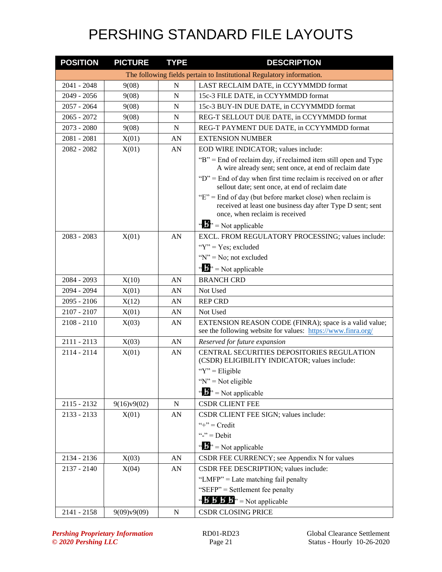| <b>POSITION</b> | <b>PICTURE</b> | <b>TYPE</b> | <b>DESCRIPTION</b>                                                                                                                                             |
|-----------------|----------------|-------------|----------------------------------------------------------------------------------------------------------------------------------------------------------------|
|                 |                |             | The following fields pertain to Institutional Regulatory information.                                                                                          |
| 2041 - 2048     | 9(08)          | N           | LAST RECLAIM DATE, in CCYYMMDD format                                                                                                                          |
| 2049 - 2056     | 9(08)          | N           | 15c-3 FILE DATE, in CCYYMMDD format                                                                                                                            |
| $2057 - 2064$   | 9(08)          | N           | 15c-3 BUY-IN DUE DATE, in CCYYMMDD format                                                                                                                      |
| $2065 - 2072$   | 9(08)          | N           | REG-T SELLOUT DUE DATE, in CCYYMMDD format                                                                                                                     |
| $2073 - 2080$   | 9(08)          | N           | REG-T PAYMENT DUE DATE, in CCYYMMDD format                                                                                                                     |
| 2081 - 2081     | X(01)          | AN          | <b>EXTENSION NUMBER</b>                                                                                                                                        |
| 2082 - 2082     | X(01)          | AN          | EOD WIRE INDICATOR; values include:                                                                                                                            |
|                 |                |             | "B" = End of reclaim day, if reclaimed item still open and Type<br>A wire already sent; sent once, at end of reclaim date                                      |
|                 |                |             | " $D$ " = End of day when first time reclaim is received on or after<br>sellout date; sent once, at end of reclaim date                                        |
|                 |                |             | " $E$ " = End of day (but before market close) when reclaim is<br>received at least one business day after Type D sent; sent<br>once, when reclaim is received |
|                 |                |             | " $\mathbf{B}$ " = Not applicable                                                                                                                              |
| 2083 - 2083     | X(01)          | AN          | EXCL. FROM REGULATORY PROCESSING; values include:                                                                                                              |
|                 |                |             | " $Y$ " = Yes; excluded                                                                                                                                        |
|                 |                |             | " $N$ " = No; not excluded                                                                                                                                     |
|                 |                |             | $\mathbf{A}^{\mathbf{B}}$ = Not applicable                                                                                                                     |
| 2084 - 2093     | X(10)          | AN          | <b>BRANCH CRD</b>                                                                                                                                              |
| 2094 - 2094     | X(01)          | AN          | Not Used                                                                                                                                                       |
| $2095 - 2106$   | X(12)          | AN          | <b>REP CRD</b>                                                                                                                                                 |
| 2107 - 2107     | X(01)          | AN          | Not Used                                                                                                                                                       |
| $2108 - 2110$   | X(03)          | AN          | EXTENSION REASON CODE (FINRA); space is a valid value;<br>see the following website for values: https://www.finra.org/                                         |
| $2111 - 2113$   | X(03)          | AN          | Reserved for future expansion                                                                                                                                  |
| 2114 - 2114     | X(01)          | AN          | CENTRAL SECURITIES DEPOSITORIES REGULATION<br>(CSDR) ELIGIBILITY INDICATOR; values include:                                                                    |
|                 |                |             | " $Y$ " = Eligible                                                                                                                                             |
|                 |                |             | " $N$ " = Not eligible                                                                                                                                         |
|                 |                |             | " $\mathbf{b}$ " = Not applicable                                                                                                                              |
| $2115 - 2132$   | 9(16)v9(02)    | N           | <b>CSDR CLIENT FEE</b>                                                                                                                                         |
| $2133 - 2133$   | X(01)          | AN          | CSDR CLIENT FEE SIGN; values include:                                                                                                                          |
|                 |                |             | "+" = $Credit$                                                                                                                                                 |
|                 |                |             | "-" = $Debit$                                                                                                                                                  |
|                 |                |             | " $\mathbf{B}$ " = Not applicable                                                                                                                              |
| 2134 - 2136     | X(03)          | AN          | CSDR FEE CURRENCY; see Appendix N for values                                                                                                                   |
| $2137 - 2140$   | X(04)          | AN          | CSDR FEE DESCRIPTION; values include:                                                                                                                          |
|                 |                |             | "LMFP" = Late matching fail penalty                                                                                                                            |
|                 |                |             | "SEFP" = Settlement fee penalty                                                                                                                                |
|                 |                |             | " $\mathbf{B} \mathbf{B} \mathbf{B}$ " = Not applicable                                                                                                        |
| $2141 - 2158$   | 9(09)v9(09)    | $\mathbf N$ | <b>CSDR CLOSING PRICE</b>                                                                                                                                      |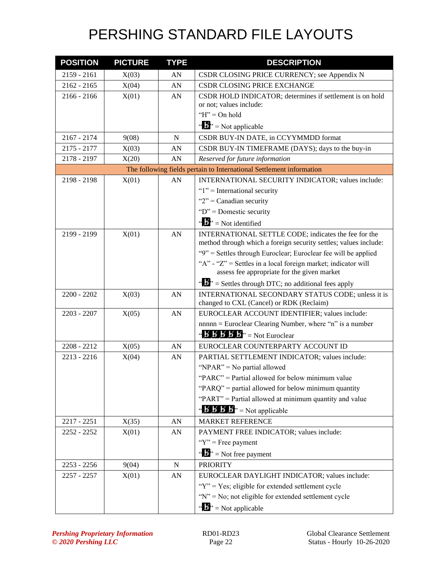| <b>POSITION</b> | <b>PICTURE</b> | <b>TYPE</b> | <b>DESCRIPTION</b>                                                                                                       |
|-----------------|----------------|-------------|--------------------------------------------------------------------------------------------------------------------------|
| $2159 - 2161$   | X(03)          | AN          | CSDR CLOSING PRICE CURRENCY; see Appendix N                                                                              |
| $2162 - 2165$   | X(04)          | AN          | CSDR CLOSING PRICE EXCHANGE                                                                                              |
| $2166 - 2166$   | X(01)          | AN          | CSDR HOLD INDICATOR; determines if settlement is on hold                                                                 |
|                 |                |             | or not; values include:                                                                                                  |
|                 |                |             | " $H$ " = On hold                                                                                                        |
|                 |                |             | " $\mathbf{B}$ " = Not applicable                                                                                        |
| $2167 - 2174$   | 9(08)          | ${\bf N}$   | CSDR BUY-IN DATE, in CCYYMMDD format                                                                                     |
| 2175 - 2177     | X(03)          | AN          | CSDR BUY-IN TIMEFRAME (DAYS); days to the buy-in                                                                         |
| 2178 - 2197     | X(20)          | AN          | Reserved for future information                                                                                          |
|                 |                |             | The following fields pertain to International Settlement information                                                     |
| 2198 - 2198     | X(01)          | AN          | INTERNATIONAL SECURITY INDICATOR; values include:                                                                        |
|                 |                |             | " $1$ " = International security                                                                                         |
|                 |                |             | " $2$ " = Canadian security                                                                                              |
|                 |                |             | " $D$ " = Domestic security                                                                                              |
|                 |                |             | " $\mathbf{b}$ " = Not identified                                                                                        |
| 2199 - 2199     | X(01)          | AN          | INTERNATIONAL SETTLE CODE; indicates the fee for the<br>method through which a foreign security settles; values include: |
|                 |                |             | "9" = Settles through Euroclear; Euroclear fee will be applied                                                           |
|                 |                |             | "A" - "Z" = Settles in a local foreign market; indicator will                                                            |
|                 |                |             | assess fee appropriate for the given market                                                                              |
|                 |                |             | " $\mathbf{E}$ " = Settles through DTC; no additional fees apply                                                         |
| 2200 - 2202     | X(03)          | AN          | INTERNATIONAL SECONDARY STATUS CODE; unless it is                                                                        |
|                 |                |             | changed to CXL (Cancel) or RDK (Reclaim)                                                                                 |
| 2203 - 2207     | X(05)          | AN          | EUROCLEAR ACCOUNT IDENTIFIER; values include:                                                                            |
|                 |                |             | $nnnn = Euroclear Clearing Number, where "n" is a number$                                                                |
|                 |                |             | " $\mathbf{B} \mathbf{B} \mathbf{B} \mathbf{B} \mathbf{B}$ " = Not Euroclear                                             |
| 2208 - 2212     | X(05)          | AN          | EUROCLEAR COUNTERPARTY ACCOUNT ID                                                                                        |
| $2213 - 2216$   | X(04)          | AN          | PARTIAL SETTLEMENT INDICATOR; values include:                                                                            |
|                 |                |             | "NPAR" = No partial allowed                                                                                              |
|                 |                |             | "PARC" = Partial allowed for below minimum value                                                                         |
|                 |                |             | "PARQ" = partial allowed for below minimum quantity                                                                      |
|                 |                |             | "PART" = Partial allowed at minimum quantity and value                                                                   |
|                 |                |             | " $\mathbf{B} \mathbf{B} \mathbf{B}'$ $\mathbf{B}'$ = Not applicable                                                     |
| 2217 - 2251     | X(35)          | AN          | <b>MARKET REFERENCE</b>                                                                                                  |
| 2252 - 2252     | X(01)          | AN          | PAYMENT FREE INDICATOR; values include:                                                                                  |
|                 |                |             | " $Y$ " = Free payment                                                                                                   |
|                 |                |             | " $\mathbf{J}^{\prime\prime}$ = Not free payment                                                                         |
| $2253 - 2256$   | 9(04)          | N           | <b>PRIORITY</b>                                                                                                          |
| 2257 - 2257     | X(01)          | AN          | EUROCLEAR DAYLIGHT INDICATOR; values include:                                                                            |
|                 |                |             | "Y" = Yes; eligible for extended settlement cycle                                                                        |
|                 |                |             | "N" = No; not eligible for extended settlement cycle                                                                     |
|                 |                |             | " $\mathbf{B}$ " = Not applicable                                                                                        |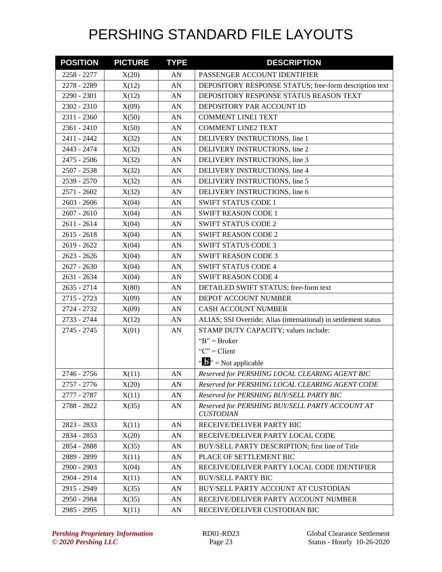| <b>POSITION</b> | <b>PICTURE</b> | <b>TYPE</b> | <b>DESCRIPTION</b>                                                  |
|-----------------|----------------|-------------|---------------------------------------------------------------------|
| 2258 - 2277     | X(20)          | AN          | PASSENGER ACCOUNT IDENTIFIER                                        |
| 2278 - 2289     | X(12)          | AN          | DEPOSITORY RESPONSE STATUS; free-form description text              |
| 2290 - 2301     | X(12)          | AN          | DEPOSITORY RESPONSE STATUS REASON TEXT                              |
| 2302 - 2310     | X(09)          | AN          | DEPOSITORY PAR ACCOUNT ID                                           |
| 2311 - 2360     | X(50)          | AN          | <b>COMMENT LINE1 TEXT</b>                                           |
| 2361 - 2410     | X(50)          | AN          | <b>COMMENT LINE2 TEXT</b>                                           |
| 2411 - 2442     | X(32)          | AN          | DELIVERY INSTRUCTIONS, line 1                                       |
| 2443 - 2474     | X(32)          | AN          | DELIVERY INSTRUCTIONS, line 2                                       |
| 2475 - 2506     | X(32)          | AN          | DELIVERY INSTRUCTIONS, line 3                                       |
| 2507 - 2538     | X(32)          | AN          | DELIVERY INSTRUCTIONS, line 4                                       |
| 2539 - 2570     | X(32)          | AN          | DELIVERY INSTRUCTIONS, line 5                                       |
| 2571 - 2602     | X(32)          | AN          | DELIVERY INSTRUCTIONS, line 6                                       |
| $2603 - 2606$   | X(04)          | AN          | <b>SWIFT STATUS CODE 1</b>                                          |
| $2607 - 2610$   | X(04)          | AN          | <b>SWIFT REASON CODE 1</b>                                          |
| 2611 - 2614     | X(04)          | AN          | <b>SWIFT STATUS CODE 2</b>                                          |
| $2615 - 2618$   | X(04)          | AN          | <b>SWIFT REASON CODE 2</b>                                          |
| 2619 - 2622     | X(04)          | AN          | <b>SWIFT STATUS CODE 3</b>                                          |
| $2623 - 2626$   | X(04)          | AN          | <b>SWIFT REASON CODE 3</b>                                          |
| $2627 - 2630$   | X(04)          | AN          | <b>SWIFT STATUS CODE 4</b>                                          |
| 2631 - 2634     | X(04)          | AN          | <b>SWIFT REASON CODE 4</b>                                          |
| 2635 - 2714     | X(80)          | AN          | DETAILED SWIFT STATUS; free-form text                               |
| 2715 - 2723     | X(09)          | AN          | DEPOT ACCOUNT NUMBER                                                |
| 2724 - 2732     | X(09)          | AN          | <b>CASH ACCOUNT NUMBER</b>                                          |
| 2733 - 2744     | X(12)          | AN          | ALIAS; SSI Override; Alias (international) in settlement status     |
| 2745 - 2745     | X(01)          | AN          | STAMP DUTY CAPACITY; values include:                                |
|                 |                |             | " $B$ " = Broker                                                    |
|                 |                |             | " $C$ " = Client                                                    |
|                 |                |             | $\mathbf{A}^{\prime\prime}$ = Not applicable                        |
| 2746 - 2756     | X(11)          | AN          | Reserved for PERSHING LOCAL CLEARING AGENT BIC                      |
| 2757 - 2776     | X(20)          | AN          | Reserved for PERSHING LOCAL CLEARING AGENT CODE                     |
| 2777 - 2787     | X(11)          | AN          | Reserved for PERSHING BUY/SELL PARTY BIC                            |
| 2788 - 2822     | X(35)          | AN          | Reserved for PERSHING BUY/SELL PARTY ACCOUNT AT<br><b>CUSTODIAN</b> |
| 2823 - 2833     | X(11)          | AN          | RECEIVE/DELIVER PARTY BIC                                           |
| 2834 - 2853     | X(20)          | AN          | RECEIVE/DELIVER PARTY LOCAL CODE                                    |
| 2854 - 2888     | X(35)          | AN          | BUY/SELL PARTY DESCRIPTION; first line of Title                     |
| 2889 - 2899     | X(11)          | AN          | PLACE OF SETTLEMENT BIC                                             |
| 2900 - 2903     | X(04)          | AN          | RECEIVE/DELIVER PARTY LOCAL CODE IDENTIFIER                         |
| 2904 - 2914     | X(11)          | AN          | <b>BUY/SELL PARTY BIC</b>                                           |
| 2915 - 2949     | X(35)          | AN          | BUY/SELL PARTY ACCOUNT AT CUSTODIAN                                 |
| 2950 - 2984     | X(35)          | AN          | RECEIVE/DELIVER PARTY ACCOUNT NUMBER                                |
| 2985 - 2995     | X(11)          | AN          | RECEIVE/DELIVER CUSTODIAN BIC                                       |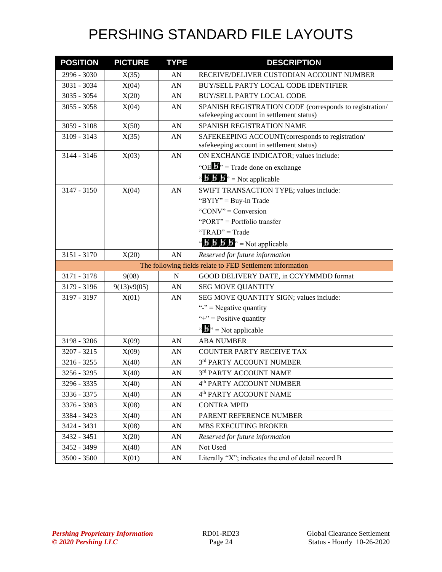| <b>POSITION</b>                                           | <b>PICTURE</b> | <b>TYPE</b> | <b>DESCRIPTION</b>                                                                                   |  |
|-----------------------------------------------------------|----------------|-------------|------------------------------------------------------------------------------------------------------|--|
| 2996 - 3030                                               | X(35)          | AN          | RECEIVE/DELIVER CUSTODIAN ACCOUNT NUMBER                                                             |  |
| 3031 - 3034                                               | X(04)          | AN          | BUY/SELL PARTY LOCAL CODE IDENTIFIER                                                                 |  |
| 3035 - 3054                                               | X(20)          | AN          | <b>BUY/SELL PARTY LOCAL CODE</b>                                                                     |  |
| $3055 - 3058$                                             | X(04)          | AN          | SPANISH REGISTRATION CODE (corresponds to registration/<br>safekeeping account in settlement status) |  |
| $3059 - 3108$                                             | X(50)          | AN          | SPANISH REGISTRATION NAME                                                                            |  |
| 3109 - 3143                                               | X(35)          | AN          | SAFEKEEPING ACCOUNT(corresponds to registration/                                                     |  |
|                                                           |                |             | safekeeping account in settlement status)                                                            |  |
| 3144 - 3146                                               | X(03)          | AN          | ON EXCHANGE INDICATOR; values include:                                                               |  |
|                                                           |                |             | "OE $\mathbf{L}$ " = Trade done on exchange                                                          |  |
|                                                           |                |             | " $\mathbf{B} \mathbf{B}$ " = Not applicable                                                         |  |
| 3147 - 3150                                               | X(04)          | AN          | SWIFT TRANSACTION TYPE; values include:                                                              |  |
|                                                           |                |             | " $BYIY" = Buy-in Trade$                                                                             |  |
|                                                           |                |             | "CONV" = Conversion                                                                                  |  |
|                                                           |                |             | "PORT" = Portfolio transfer                                                                          |  |
|                                                           |                |             | "TRAD" = Trade                                                                                       |  |
|                                                           |                |             | " $\mathbf{B} \mathbf{B} \mathbf{B}$ " = Not applicable                                              |  |
| 3151 - 3170                                               | X(20)          | AN          | Reserved for future information                                                                      |  |
| The following fields relate to FED Settlement information |                |             |                                                                                                      |  |
| 3171 - 3178                                               | 9(08)          | N           | GOOD DELIVERY DATE, in CCYYMMDD format                                                               |  |
| 3179 - 3196                                               | 9(13)v9(05)    | AN          | <b>SEG MOVE QUANTITY</b>                                                                             |  |
| 3197 - 3197                                               | X(01)          | AN          | SEG MOVE QUANTITY SIGN; values include:                                                              |  |
|                                                           |                |             | "-" = Negative quantity                                                                              |  |
|                                                           |                |             | "+" = Positive quantity                                                                              |  |
|                                                           |                |             | $\mathbf{a} \cdot \mathbf{B}$ <sup>2</sup> = Not applicable                                          |  |
| 3198 - 3206                                               | X(09)          | AN          | <b>ABA NUMBER</b>                                                                                    |  |
| 3207 - 3215                                               | X(09)          | AN          | <b>COUNTER PARTY RECEIVE TAX</b>                                                                     |  |
| 3216 - 3255                                               | X(40)          | AN          | 3rd PARTY ACCOUNT NUMBER                                                                             |  |
| 3256 - 3295                                               | X(40)          | AN          | 3rd PARTY ACCOUNT NAME                                                                               |  |
| 3296 - 3335                                               | X(40)          | AN          | 4 <sup>th</sup> PARTY ACCOUNT NUMBER                                                                 |  |
| 3336 - 3375                                               | X(40)          | AN          | 4 <sup>th</sup> PARTY ACCOUNT NAME                                                                   |  |
| 3376 - 3383                                               | X(08)          | AN          | <b>CONTRA MPID</b>                                                                                   |  |
| 3384 - 3423                                               | X(40)          | AN          | PARENT REFERENCE NUMBER                                                                              |  |
| 3424 - 3431                                               | X(08)          | AN          | MBS EXECUTING BROKER                                                                                 |  |
| 3432 - 3451                                               | X(20)          | AN          | Reserved for future information                                                                      |  |
| 3452 - 3499                                               | X(48)          | AN          | Not Used                                                                                             |  |
| 3500 - 3500                                               | X(01)          | AN          | Literally "X"; indicates the end of detail record B                                                  |  |